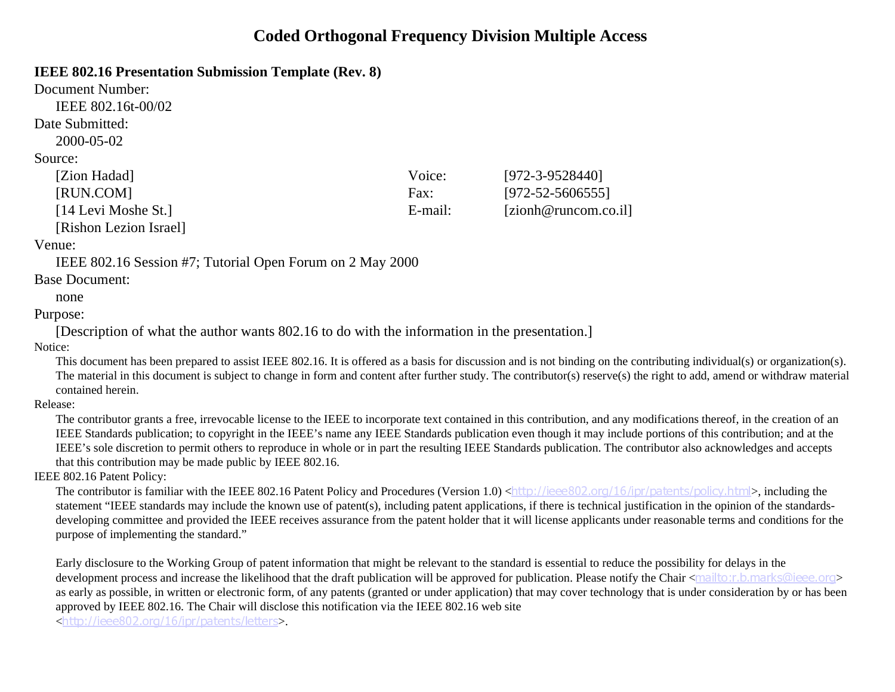### **Coded Orthogonal Frequency Division Multiple Access**

### **IEEE 802.16 Presentation Submission Template (Rev. 8)**

| Document Number:       |         |                        |
|------------------------|---------|------------------------|
| IEEE 802.16t-00/02     |         |                        |
| Date Submitted:        |         |                        |
| 2000-05-02             |         |                        |
| Source:                |         |                        |
| [Zion Hadad]           | Voice:  | $[972 - 3 - 9528440]$  |
| [RUN.COM]              | Fax:    | $[972 - 52 - 5606555]$ |
| [14 Levi Moshe St.]    | E-mail: | [zionh@runcom.co.il]   |
| [Rishon Lezion Israel] |         |                        |
|                        |         |                        |

### Venue:

IEEE 802.16 Session #7; Tutorial Open Forum on 2 May 2000

### Base Document:

#### none

### Purpose:

[Description of what the author wants 802.16 to do with the information in the presentation.]

Notice:

This document has been prepared to assist IEEE 802.16. It is offered as a basis for discussion and is not binding on the contributing individual(s) or organization(s). The material in this document is subject to change in form and content after further study. The contributor(s) reserve(s) the right to add, amend or withdraw material contained herein.

Release:

The contributor grants a free, irrevocable license to the IEEE to incorporate text contained in this contribution, and any modifications thereof, in the creation of an IEEE Standards publication; to copyright in the IEEE's name any IEEE Standards publication even though it may include portions of this contribution; and at the IEEE's sole discretion to permit others to reproduce in whole or in part the resulting IEEE Standards publication. The contributor also acknowledges and accepts that this contribution may be made public by IEEE 802.16.

### IEEE 802.16 Patent Policy:

The contributor is familiar with the IEEE 802.16 Patent Policy and Procedures (Version 1.0) <http://ieee802.org/16/ipr/patents/policy.html>, including the statement "IEEE standards may include the known use of patent(s), including patent applications, if there is technical justification in the opinion of the standardsdeveloping committee and provided the IEEE receives assurance from the patent holder that it will license applicants under reasonable terms and conditions for the purpose of implementing the standard."

Early disclosure to the Working Group of patent information that might be relevant to the standard is essential to reduce the possibility for delays in the development process and increase the likelihood that the draft publication will be approved for publication. Please notify the Chair <mailto:r.b.marks@ieee.org> as early as possible, in written or electronic form, of any patents (granted or under application) that may cover technology that is under consideration by or has been approved by IEEE 802.16. The Chair will disclose this notification via the IEEE 802.16 web site

<http://ieee802.org/16/ipr/patents/letters>.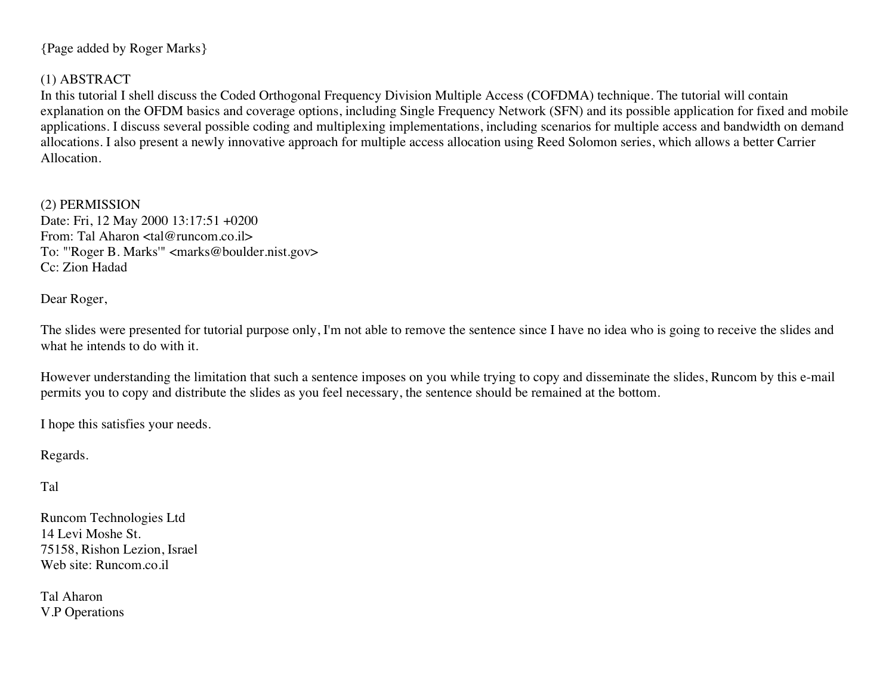{Page added by Roger Marks}

### (1) ABSTRACT

In this tutorial I shell discuss the Coded Orthogonal Frequency Division Multiple Access (COFDMA) technique. The tutorial will contain explanation on the OFDM basics and coverage options, including Single Frequency Network (SFN) and its possible application for fixed and mobile applications. I discuss several possible coding and multiplexing implementations, including scenarios for multiple access and bandwidth on demand allocations. I also present a newly innovative approach for multiple access allocation using Reed Solomon series, which allows a better Carrier Allocation.

(2) PERMISSION Date: Fri, 12 May 2000 13:17:51 +0200 From: Tal Aharon <tal@runcom.co.il> To: "'Roger B. Marks'" <marks@boulder.nist.gov> Cc: Zion Hadad

Dear Roger,

The slides were presented for tutorial purpose only, I'm not able to remove the sentence since I have no idea who is going to receive the slides and what he intends to do with it.

However understanding the limitation that such a sentence imposes on you while trying to copy and disseminate the slides, Runcom by this e-mail permits you to copy and distribute the slides as you feel necessary, the sentence should be remained at the bottom.

I hope this satisfies your needs.

Regards.

Tal

Runcom Technologies Ltd 14 Levi Moshe St. 75158, Rishon Lezion, Israel Web site: Runcom.co.il

Tal Aharon V.P Operations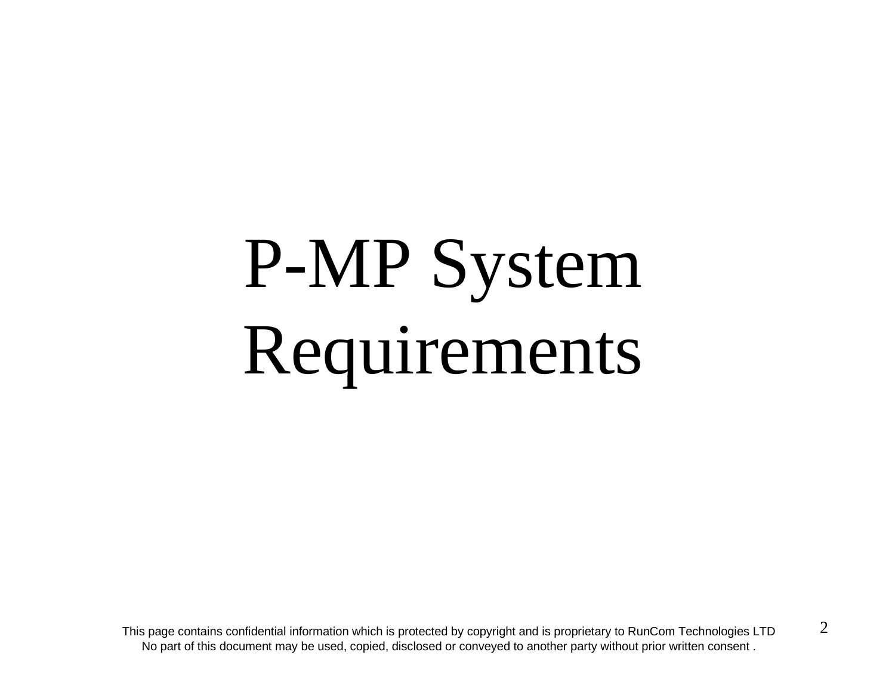# P-MP System Requirements

This page contains confidential information which is protected by copyright and is proprietary to RunCom Technologies LTD No part of this document may be used, copied, disclosed or conveyed to another party without prior written consent .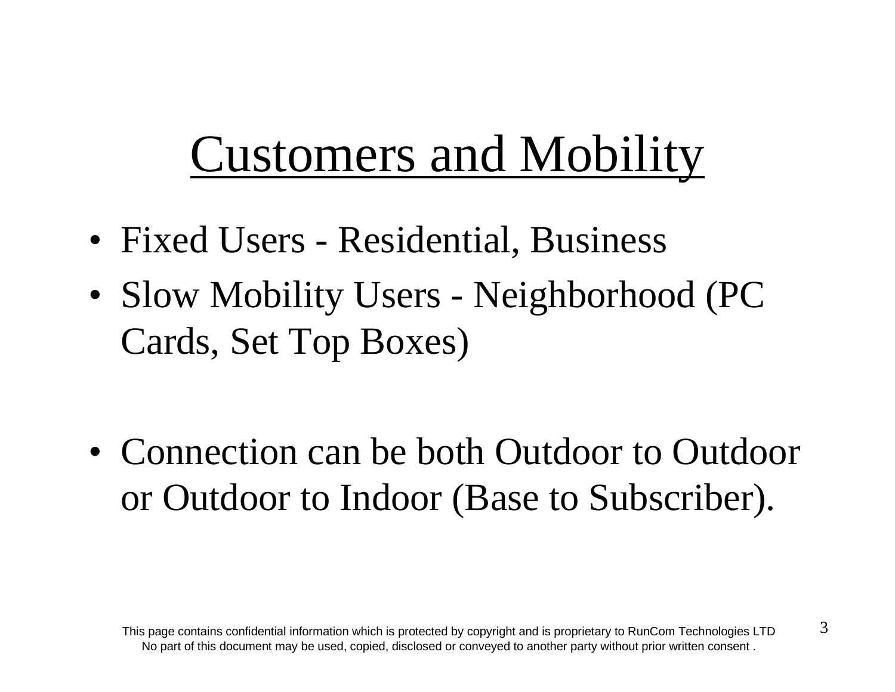# Customers and Mobility

- Fixed Users Residential, Business
- Slow Mobility Users Neighborhood (PC Cards, Set Top Boxes)
- Connection can be both Outdoor to Outdoor or Outdoor to Indoor (Base to Subscriber).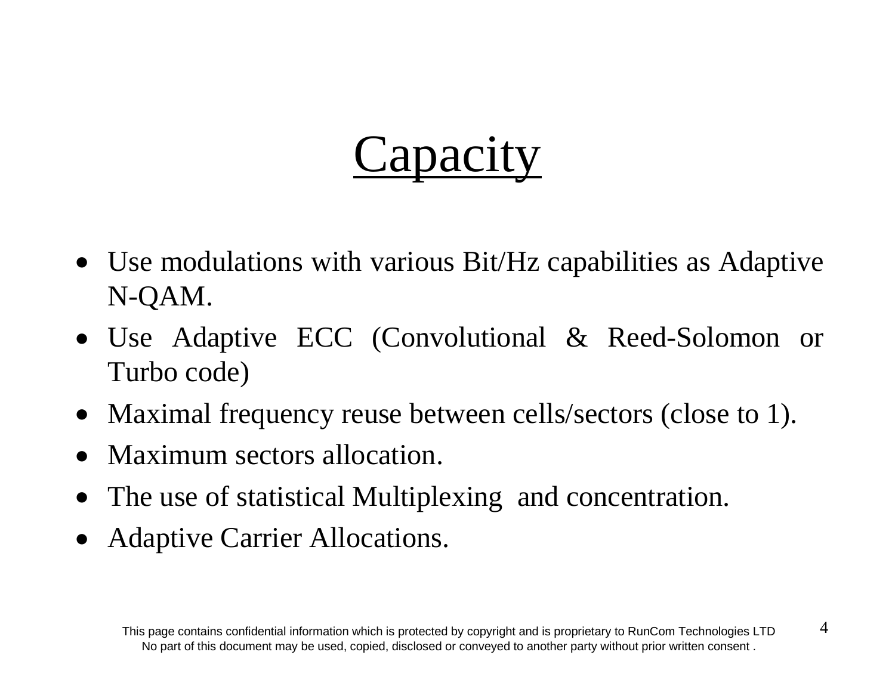# **Capacity**

- Use modulations with various Bit/Hz capabilities as Adaptive N-QAM.
- Use Adaptive ECC (Convolutional & Reed-Solomon or Turbo code)
- Maximal frequency reuse between cells/sectors (close to 1).
- Maximum sectors allocation.
- The use of statistical Multiplexing and concentration.
- Adaptive Carrier Allocations.

4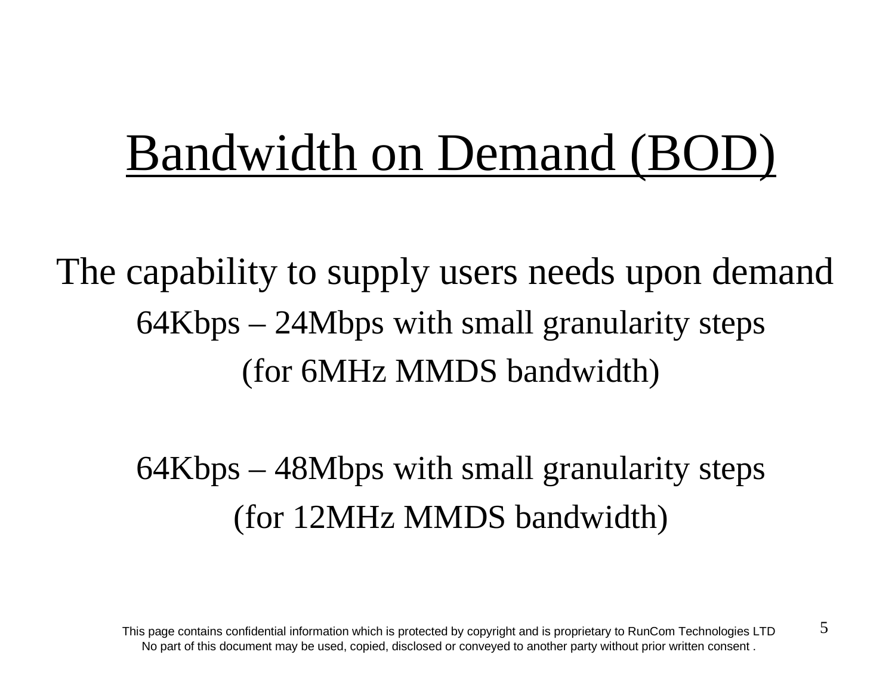# Bandwidth on Demand (BOD)

The capability to supply users needs upon demand 64Kbps – 24Mbps with small granularity steps (for 6MHz MMDS bandwidth)

> 64Kbps – 48Mbps with small granularity steps (for 12MHz MMDS bandwidth)

This page contains confidential information which is protected by copyright and is proprietary to RunCom Technologies LTD No part of this document may be used, copied, disclosed or conveyed to another party without prior written consent .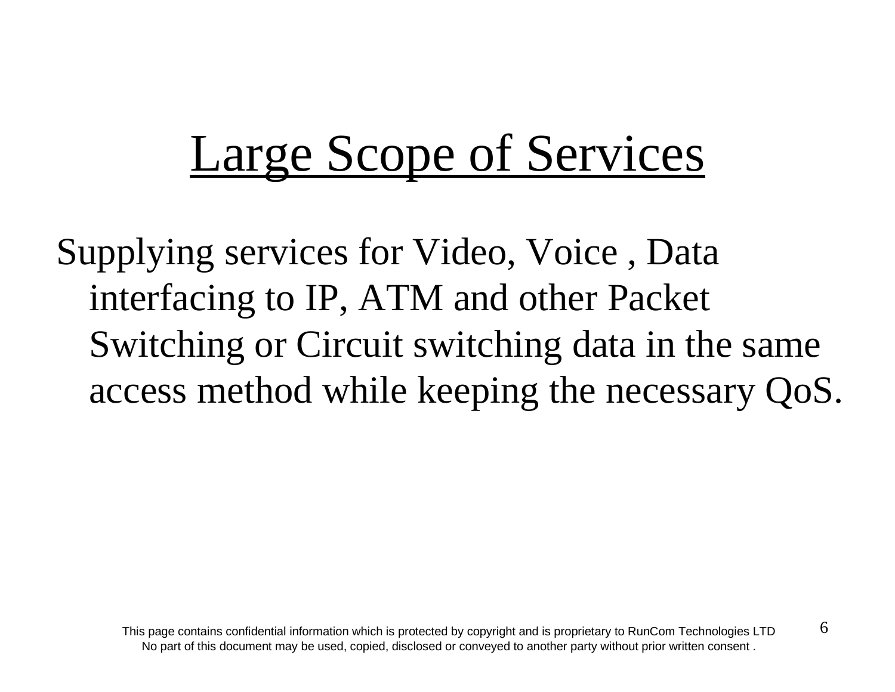# Large Scope of Services

Supplying services for Video, Voice , Data interfacing to IP, ATM and other Packet Switching or Circuit switching data in the same access method while keeping the necessary QoS.

6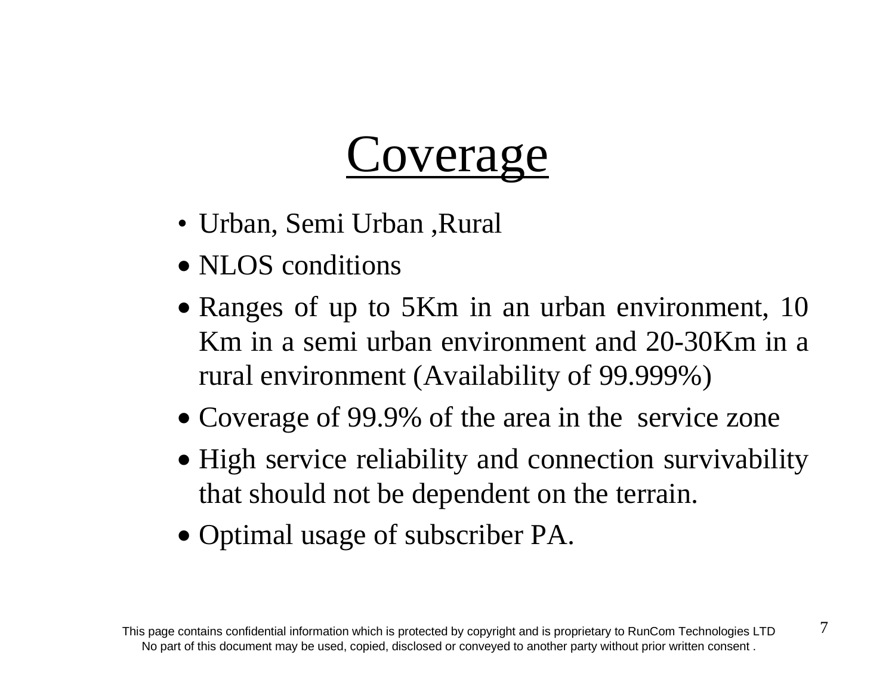# **Coverage**

- Urban, Semi Urban ,Rural
- NLOS conditions
- Ranges of up to 5Km in an urban environment, 10 Km in a semi urban environment and 20-30Km in arural environment (Availability of 99.999%)
- Coverage of 99.9% of the area in the service zone
- High service reliability and connection survivability that should not be dependent on the terrain.
- Optimal usage of subscriber PA.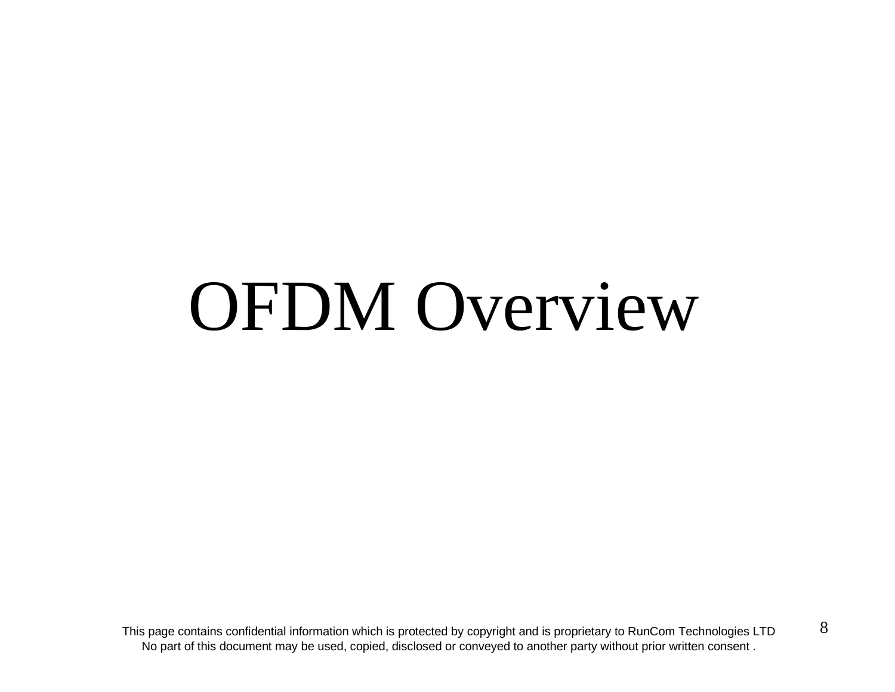# OFDM Overview

This page contains confidential information which is protected by copyright and is proprietary to RunCom Technologies LTD No part of this document may be used, copied, disclosed or conveyed to another party without prior written consent .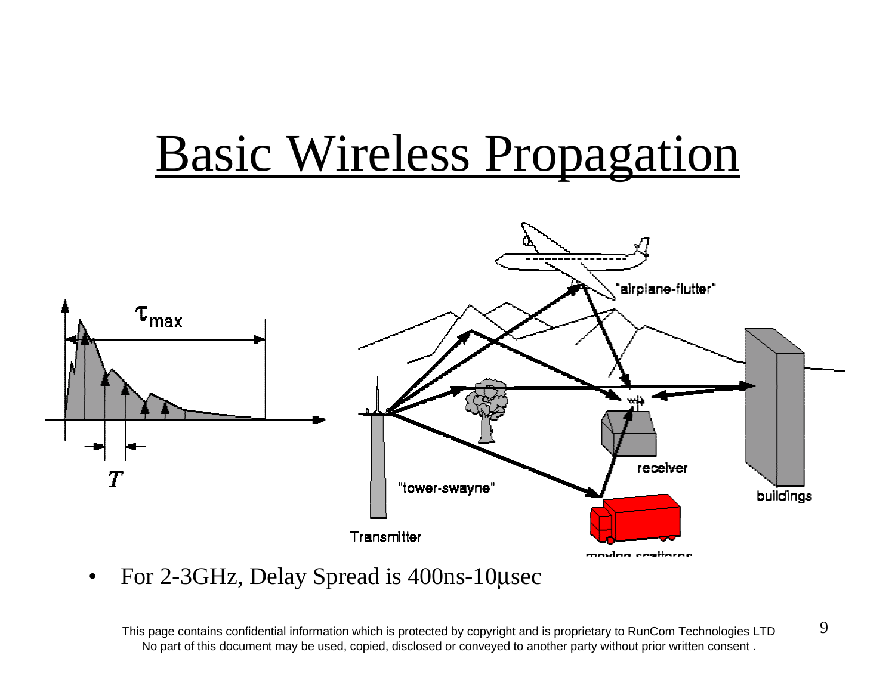# Basic Wireless Propagation



 $\bullet$ For 2-3GHz, Delay Spread is 400ns-10 µsec

This page contains confidential information which is protected by copyright and is proprietary to RunCom Technologies LTD No part of this document may be used, copied, disclosed or conveyed to another party without prior written consent .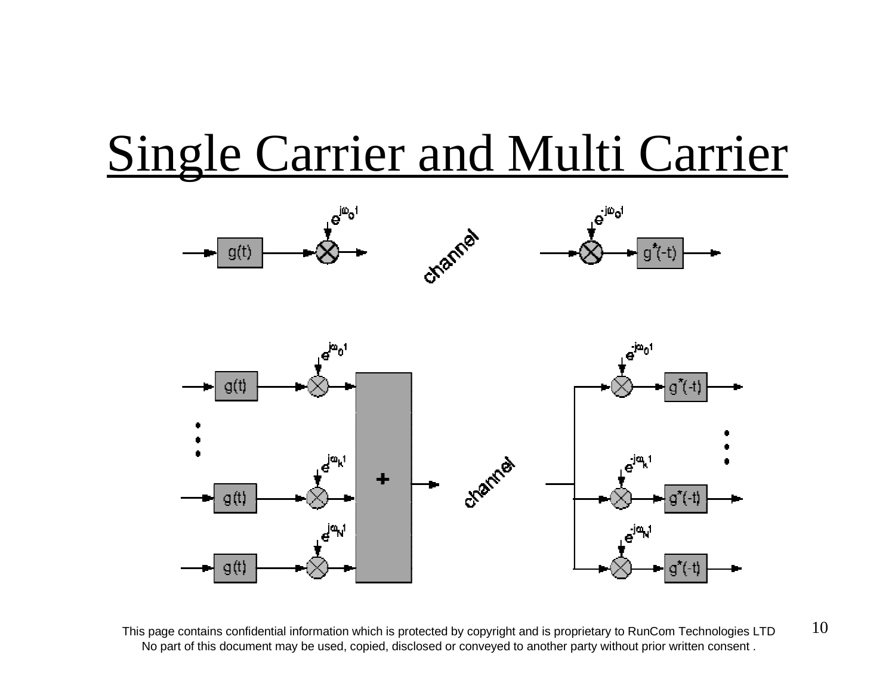# Single Carrier and Multi Carrier



This page contains confidential information which is protected by copyright and is proprietary to RunCom Technologies LTD  $10$ No part of this document may be used, copied, disclosed or conveyed to another party without prior written consent .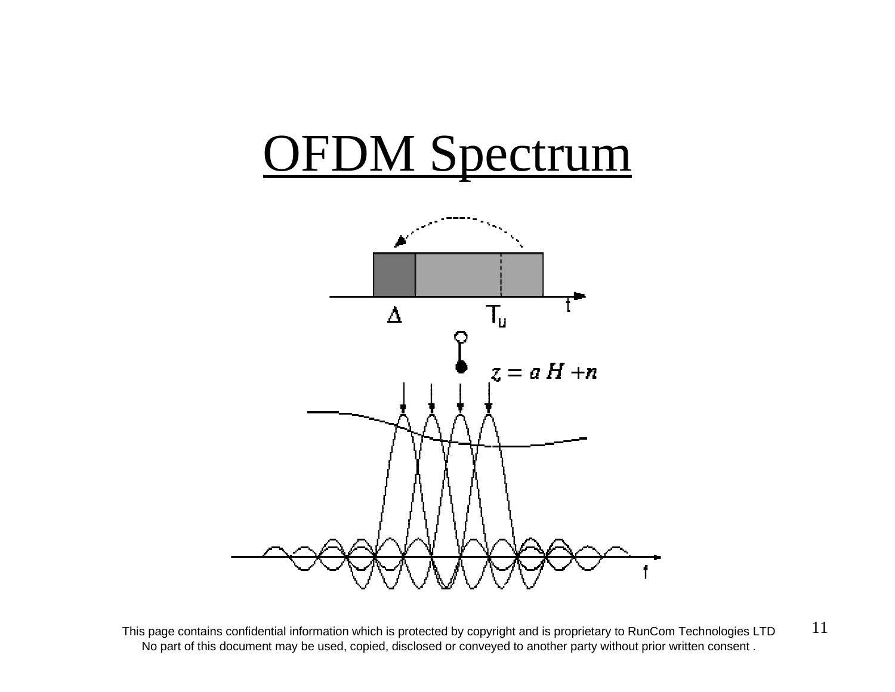

This page contains confidential information which is protected by copyright and is proprietary to RunCom Technologies LTD  $11$ No part of this document may be used, copied, disclosed or conveyed to another party without prior written consent .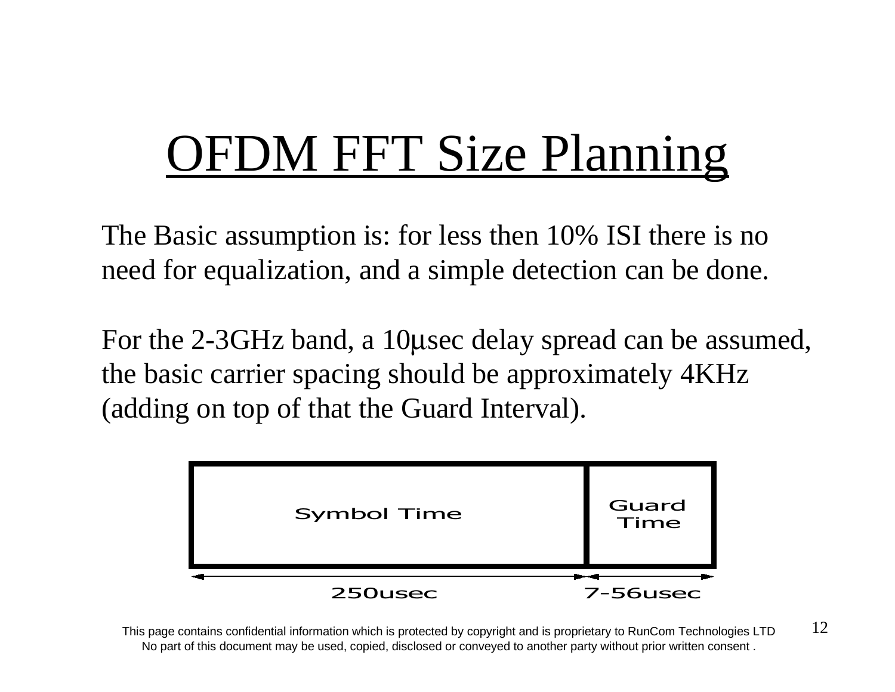# **OFDM FFT Size Planning**

The Basic assumption is: for less then 10% ISI there is no need for equalization, and a simple detection can be done.

For the 2-3GHz band, a 10 µsec delay spread can be assumed, the basic carrier spacing should be approximately 4KHz (adding on top of that the Guard Interval).



This page contains confidential information which is protected by copyright and is proprietary to RunCom Technologies LTD  $12$ No part of this document may be used, copied, disclosed or conveyed to another party without prior written consent .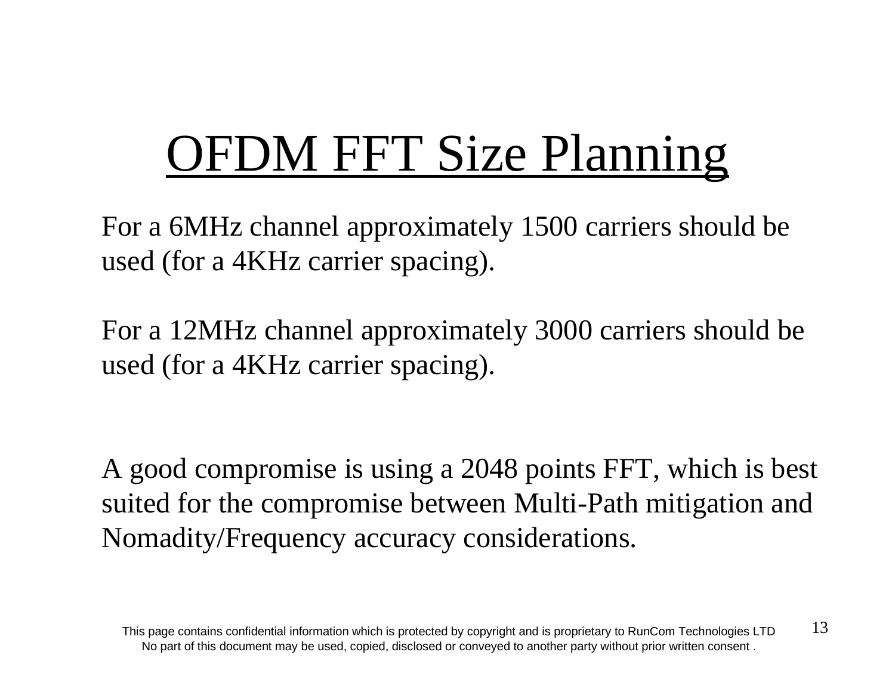# **OFDM FFT Size Planning**

For a 6MHz channel approximately 1500 carriers should be used (for a 4KHz carrier spacing).

For a 12MHz channel approximately 3000 carriers should be used (for a 4KHz carrier spacing).

A good compromise is using a 2048 points FFT, which is best suited for the compromise between Multi-Path mitigation and Nomadity/Frequency accuracy considerations.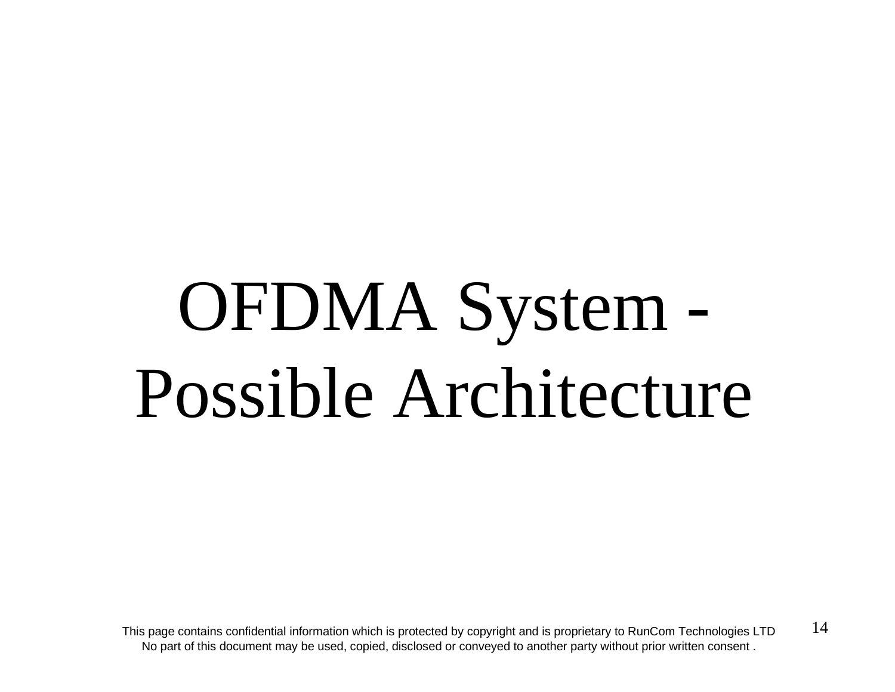# OFDMA System - Possible Architecture

This page contains confidential information which is protected by copyright and is proprietary to RunCom Technologies LTD  $14$ No part of this document may be used, copied, disclosed or conveyed to another party without prior written consent .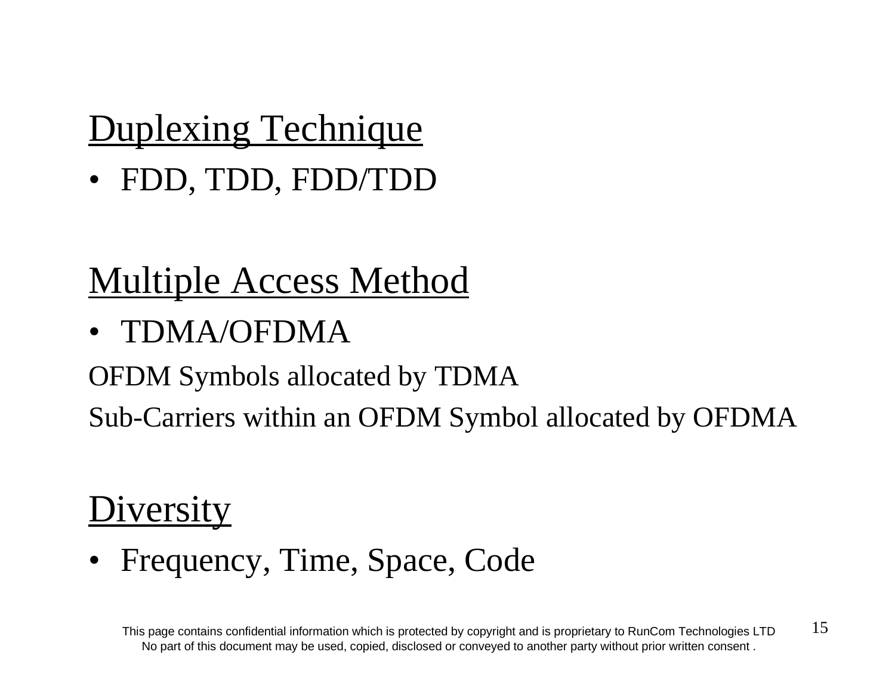## Duplexing Technique

• FDD, TDD, FDD/TDD

## Multiple Access Method

• TDMA/OFDMA

OFDM Symbols allocated by TDMA

Sub-Carriers within an OFDM Symbol allocated by OFDMA

## **Diversity**

• Frequency, Time, Space, Code

This page contains confidential information which is protected by copyright and is proprietary to RunCom Technologies LTD  $15$ No part of this document may be used, copied, disclosed or conveyed to another party without prior written consent .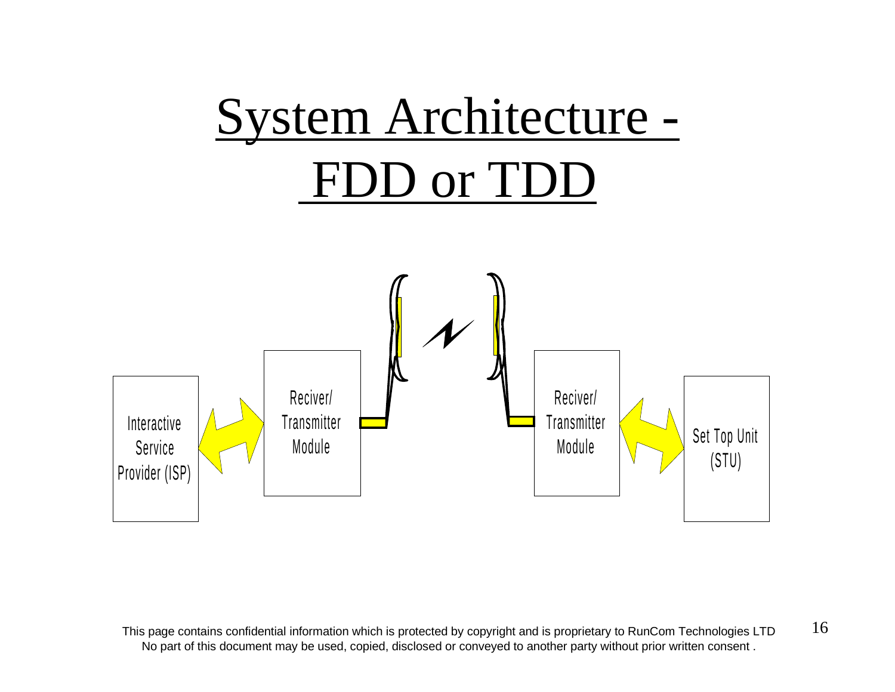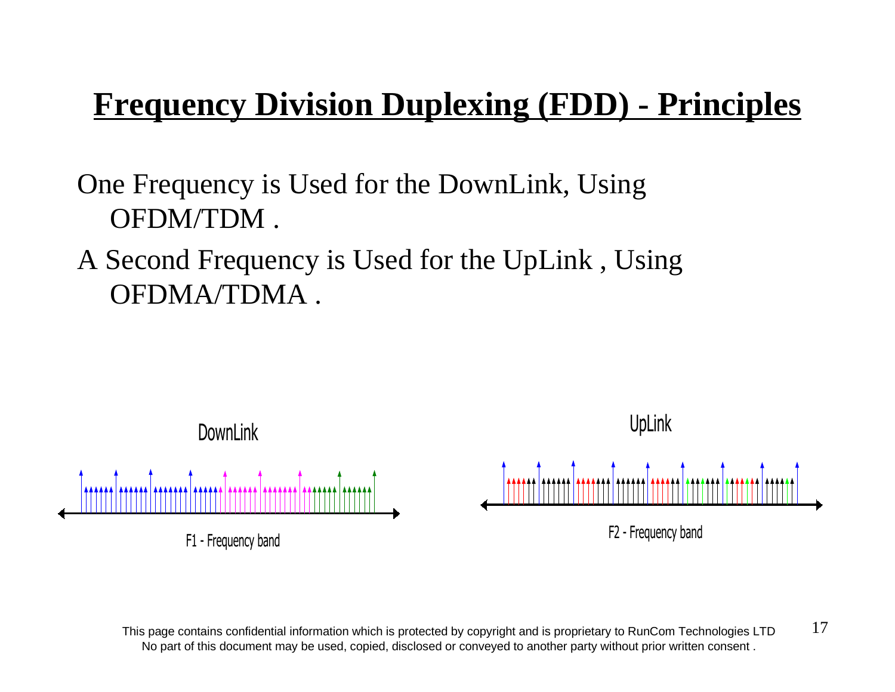## **Frequency Division Duplexing (FDD) - Principles**

One Frequency is Used for the DownLink, Using OFDM/TDM .

A Second Frequency is Used for the UpLink , Using OFDMA/TDMA .



This page contains confidential information which is protected by copyright and is proprietary to RunCom Technologies LTD  $17$ No part of this document may be used, copied, disclosed or conveyed to another party without prior written consent .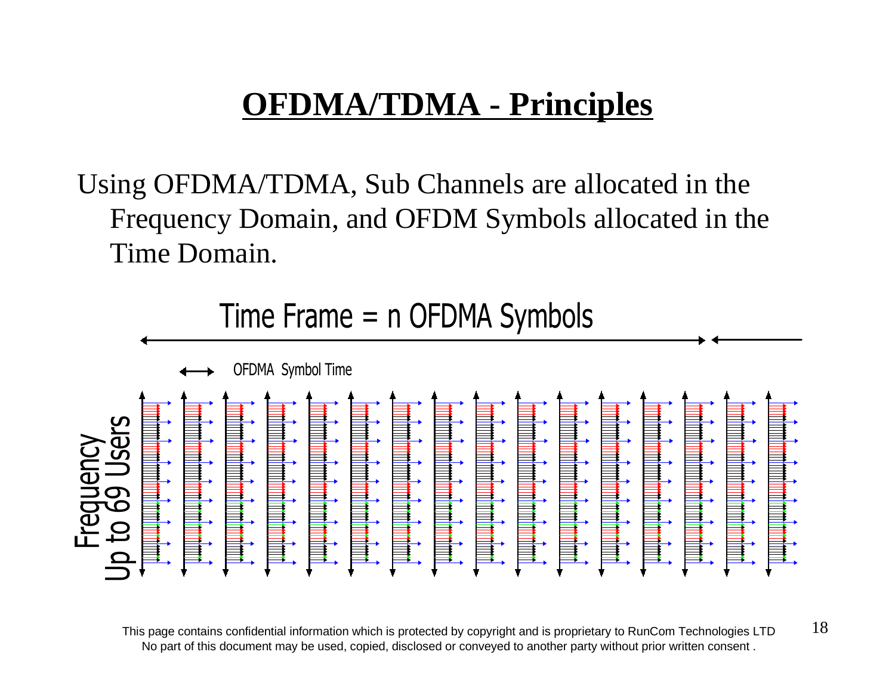## **OFDMA/TDMA - Principles**

Using OFDMA/TDMA, Sub Channels are allocated in the Frequency Domain, and OFDM Symbols allocated in the Time Domain.



This page contains confidential information which is protected by copyright and is proprietary to RunCom Technologies LTD  $18$ No part of this document may be used, copied, disclosed or conveyed to another party without prior written consent .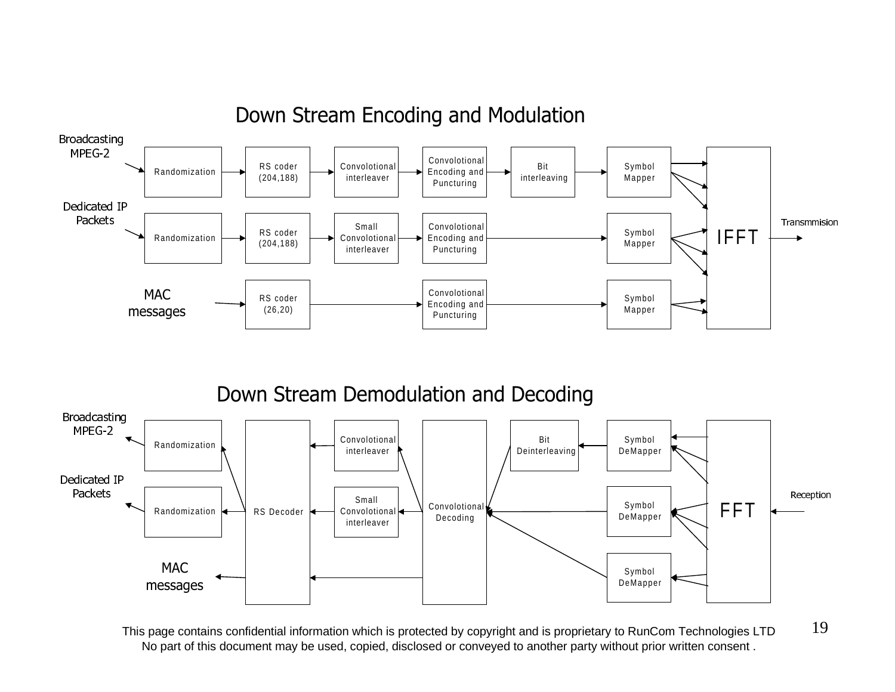

### Down Stream Encoding and Modulation

Down Stream Demodulation and Decoding



This page contains confidential information which is protected by copyright and is proprietary to RunCom Technologies LTD  $19$ No part of this document may be used, copied, disclosed or conveyed to another party without prior written consent .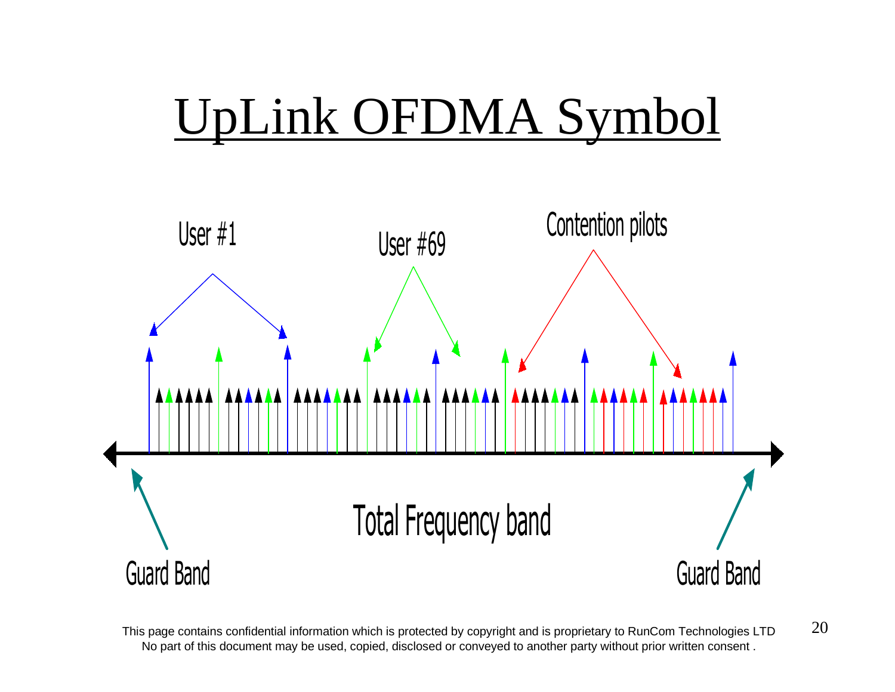# UpLink OFDMA Symbol



This page contains confidential information which is protected by copyright and is proprietary to RunCom Technologies LTD  $20$ No part of this document may be used, copied, disclosed or conveyed to another party without prior written consent .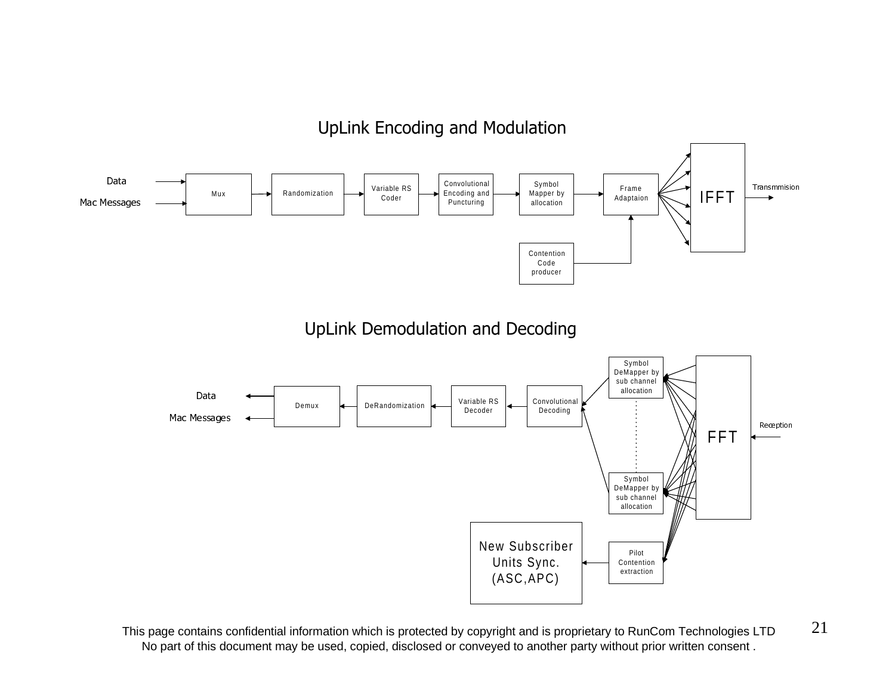### UpLink Encoding and Modulation



This page contains confidential information which is protected by copyright and is proprietary to RunCom Technologies LTD  $21$ No part of this document may be used, copied, disclosed or conveyed to another party without prior written consent .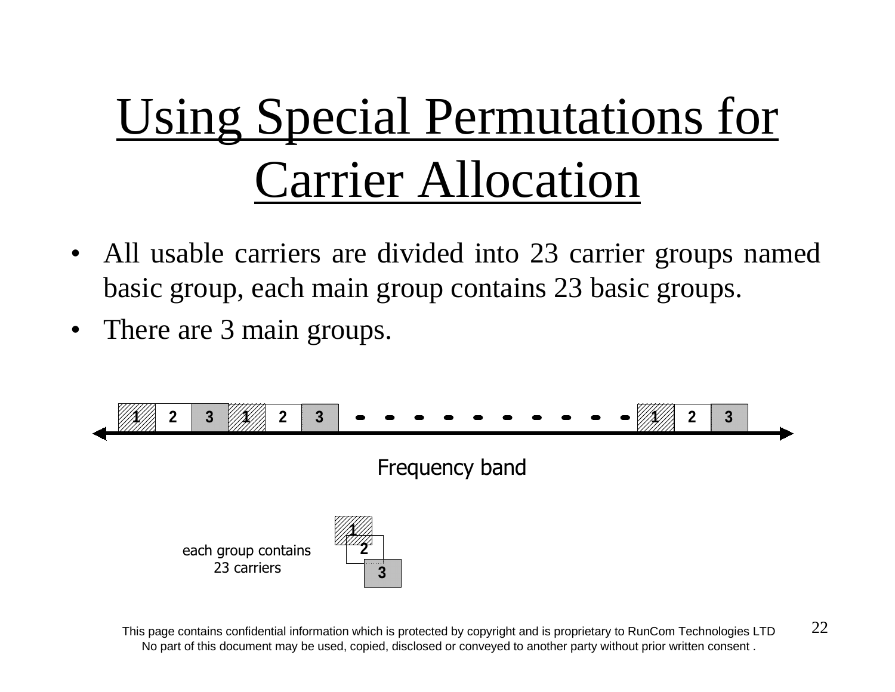# Using Special Permutations for Carrier Allocation

- All usable carriers are divided into 23 carrier groups named basic group, each main group contains 23 basic groups.
- •There are 3 main groups.



This page contains confidential information which is protected by copyright and is proprietary to RunCom Technologies LTD  $22$ No part of this document may be used, copied, disclosed or conveyed to another party without prior written consent .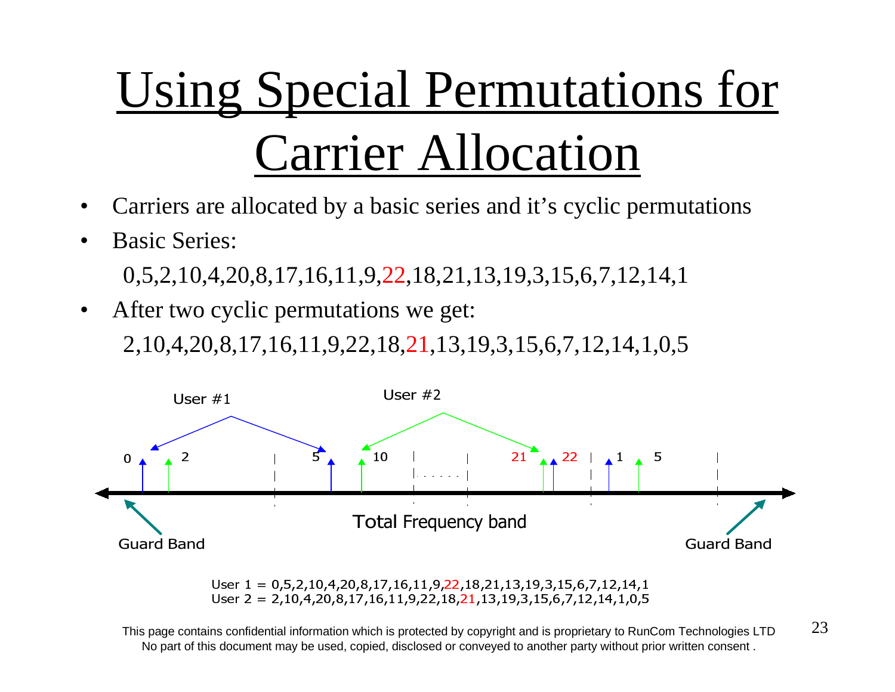# Using Special Permutations for Carrier Allocation

- •Carriers are allocated by a basic series and it's cyclic permutations
- •Basic Series:

0,5,2,10,4,20,8,17,16,11,9,22,18,21,13,19,3,15,6,7,12,14,1

•After two cyclic permutations we get:

2,10,4,20,8,17,16,11,9,22,18,21,13,19,3,15,6,7,12,14,1,0,5



User  $1 = 0.5, 2, 10, 4, 20, 8, 17, 16, 11, 9, 22, 18, 21, 13, 19, 3, 15, 6, 7, 12, 14, 1$ User  $2 = 2,10,4,20,8,17,16,11,9,22,18,21,13,19,3,15,6,7,12,14,1,0,5$ 

This page contains confidential information which is protected by copyright and is proprietary to RunCom Technologies LTD  $23$ No part of this document may be used, copied, disclosed or conveyed to another party without prior written consent .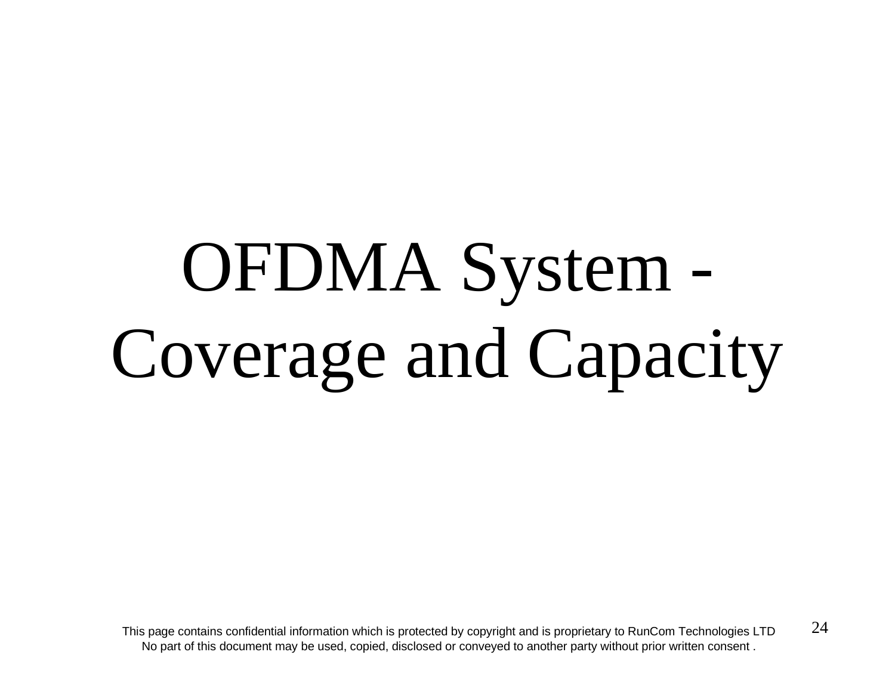# OFDMA System - Coverage and Capacity

This page contains confidential information which is protected by copyright and is proprietary to RunCom Technologies LTD  $24$ No part of this document may be used, copied, disclosed or conveyed to another party without prior written consent .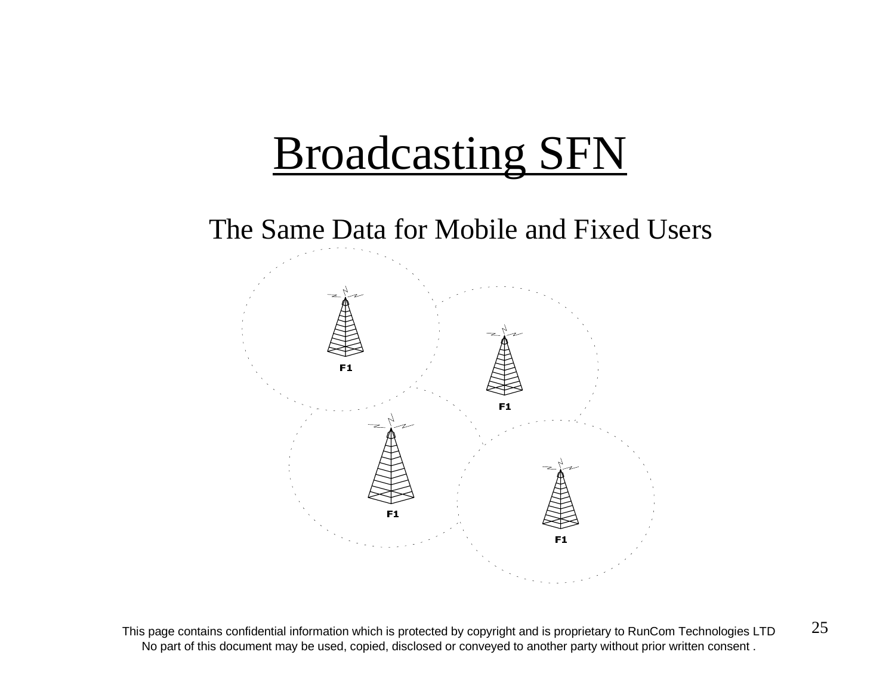# Broadcasting SFN



This page contains confidential information which is protected by copyright and is proprietary to RunCom Technologies LTD  $25$ No part of this document may be used, copied, disclosed or conveyed to another party without prior written consent .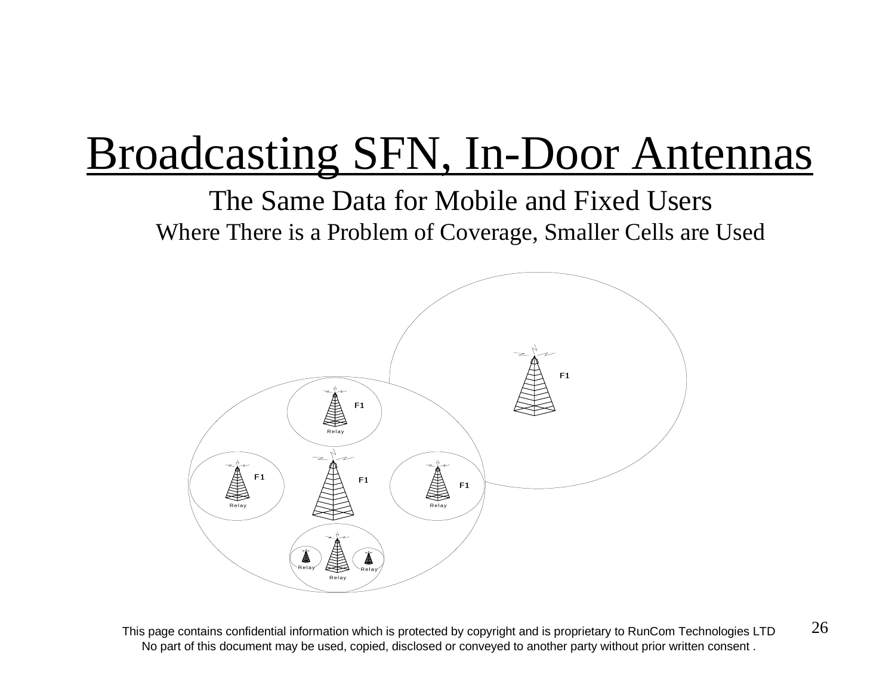# Broadcasting SFN, In-Door Antennas

The Same Data for Mobile and Fixed UsersWhere There is a Problem of Coverage, Smaller Cells are Used



This page contains confidential information which is protected by copyright and is proprietary to RunCom Technologies LTD  $26$ No part of this document may be used, copied, disclosed or conveyed to another party without prior written consent .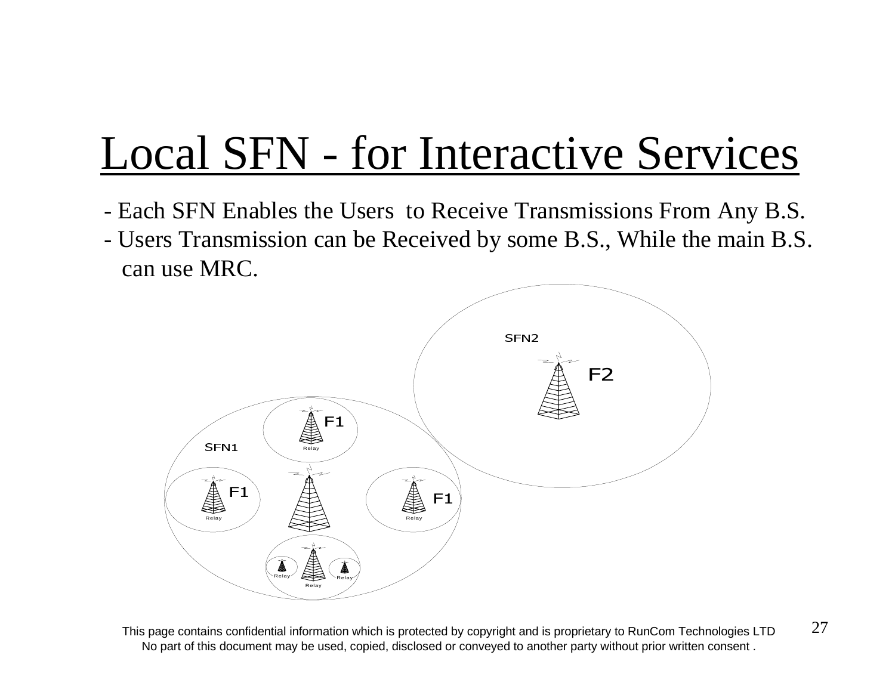# Local SFN - for Interactive Services

- Each SFN Enables the Users to Receive Transmissions From Any B.S.
- Users Transmission can be Received by some B.S., While the main B.S. can use MRC.



This page contains confidential information which is protected by copyright and is proprietary to RunCom Technologies LTD  $27$ No part of this document may be used, copied, disclosed or conveyed to another party without prior written consent .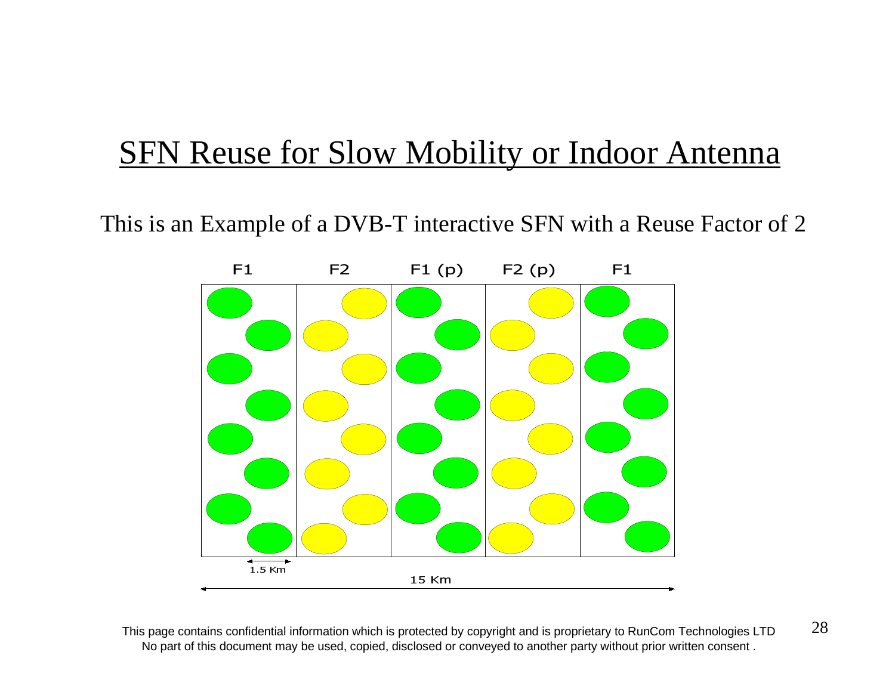### **SFN Reuse for Slow Mobility or Indoor Antenna**

This is an Example of a DVB-T interactive SFN with a Reuse Factor of 2



This page contains confidential information which is protected by copyright and is proprietary to RunCom Technologies LTD  $28$ No part of this document may be used, copied, disclosed or conveyed to another party without prior written consent .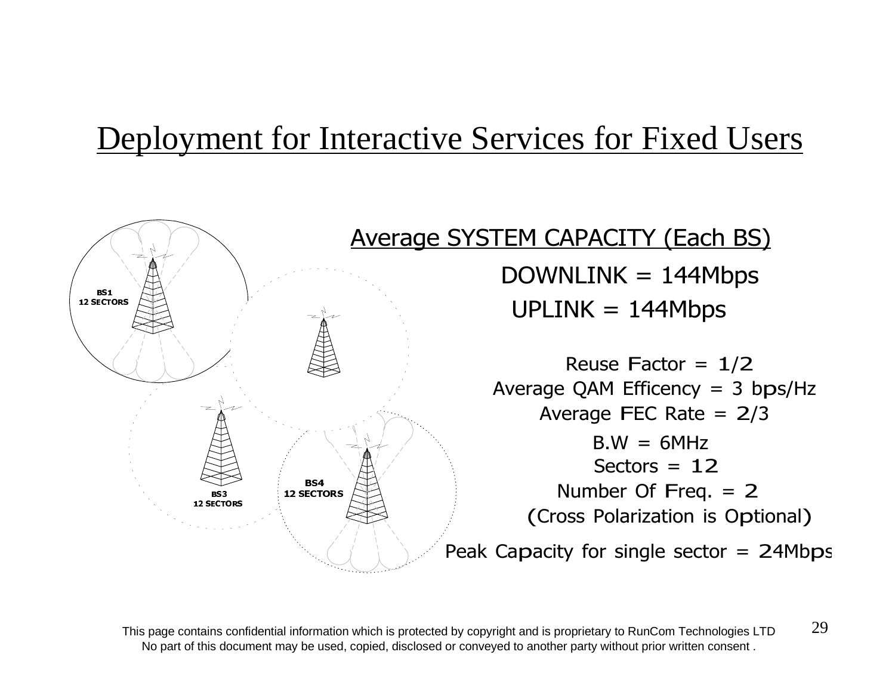### Deployment for Interactive Services for Fixed Users



This page contains confidential information which is protected by copyright and is proprietary to RunCom Technologies LTD  $29$ No part of this document may be used, copied, disclosed or conveyed to another party without prior written consent .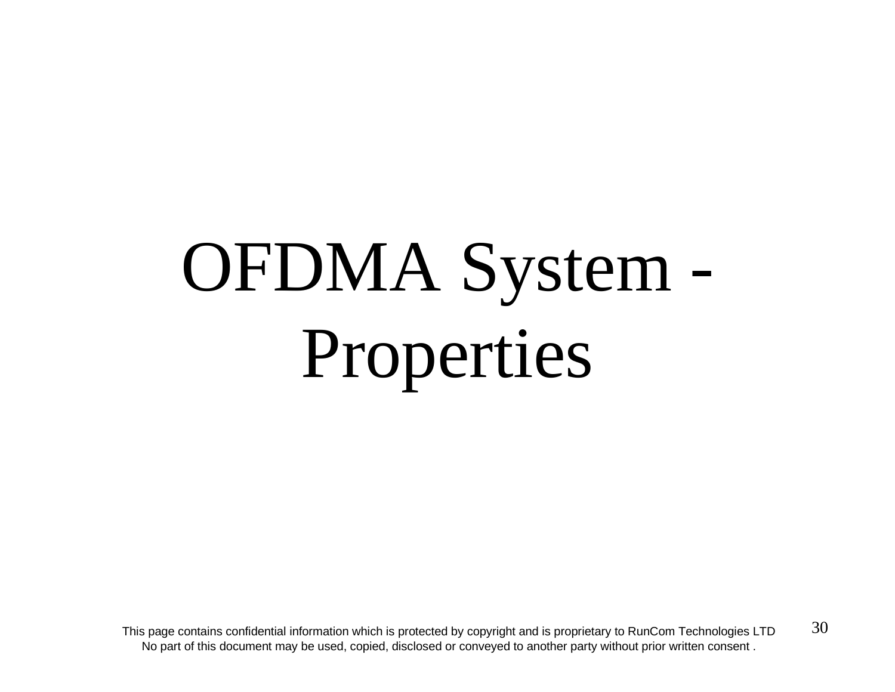# OFDMA System - Properties

This page contains confidential information which is protected by copyright and is proprietary to RunCom Technologies LTD  $30$ No part of this document may be used, copied, disclosed or conveyed to another party without prior written consent .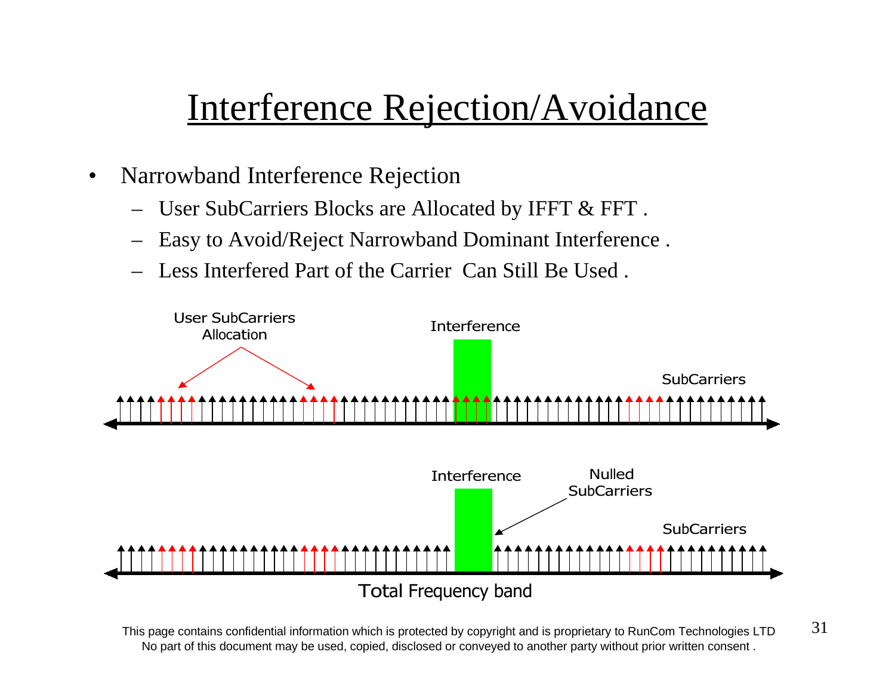## Interference Rejection/Avoidance

- $\bullet$  Narrowband Interference Rejection
	- User SubCarriers Blocks are Allocated by IFFT & FFT .
	- Easy to Avoid/Reject Narrowband Dominant Interference .
	- Less Interfered Part of the Carrier Can Still Be Used .



This page contains confidential information which is protected by copyright and is proprietary to RunCom Technologies LTD  $31$ No part of this document may be used, copied, disclosed or conveyed to another party without prior written consent .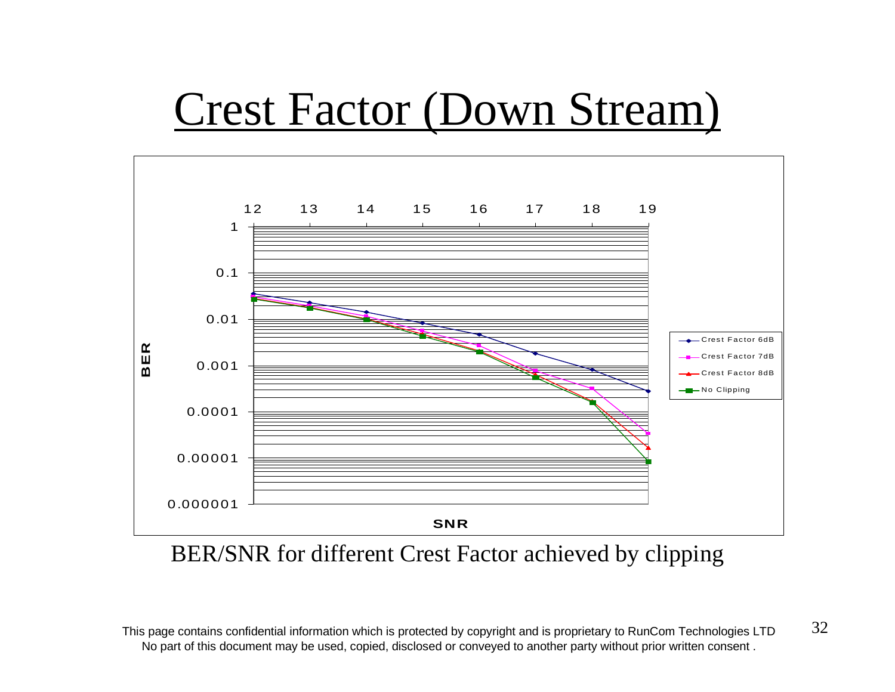## Crest Factor (Down Stream)



BER/SNR for different Crest Factor achieved by clipping

This page contains confidential information which is protected by copyright and is proprietary to RunCom Technologies LTD  $32$ No part of this document may be used, copied, disclosed or conveyed to another party without prior written consent .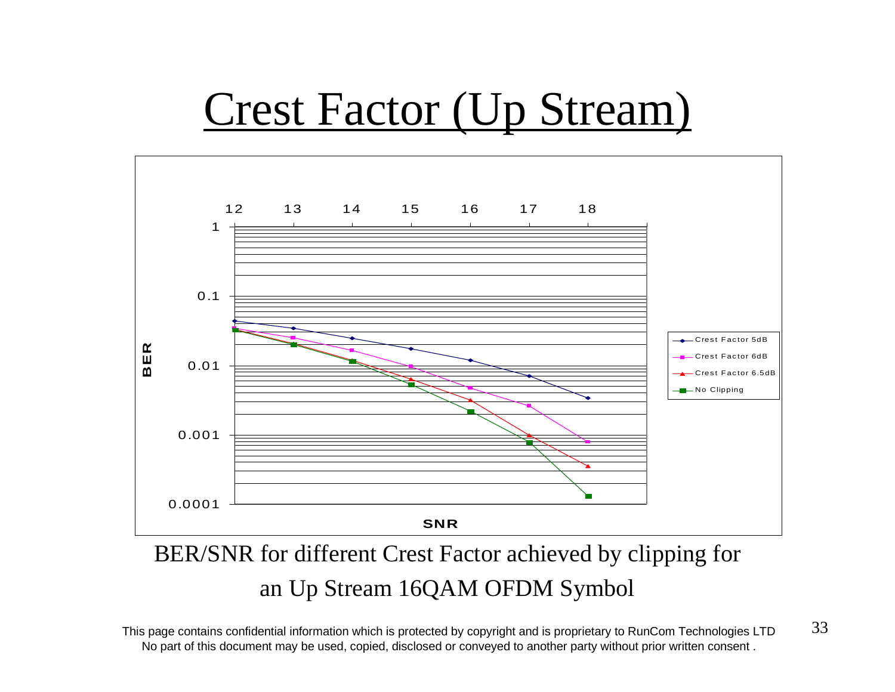# Crest Factor (Up Stream)



BER/SNR for different Crest Factor achieved by clipping for an Up Stream 16QAM OFDM Symbol

This page contains confidential information which is protected by copyright and is proprietary to RunCom Technologies LTD  $33$ No part of this document may be used, copied, disclosed or conveyed to another party without prior written consent .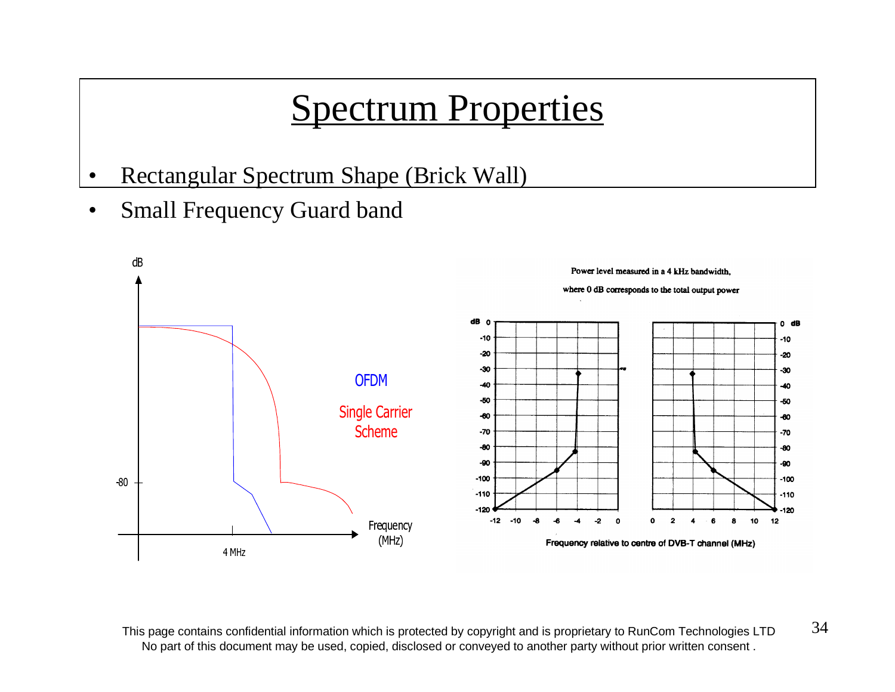## Spectrum Properties

- •Rectangular Spectrum Shape (Brick Wall)
- •Small Frequency Guard band



This page contains confidential information which is protected by copyright and is proprietary to RunCom Technologies LTD  $34$ No part of this document may be used, copied, disclosed or conveyed to another party without prior written consent .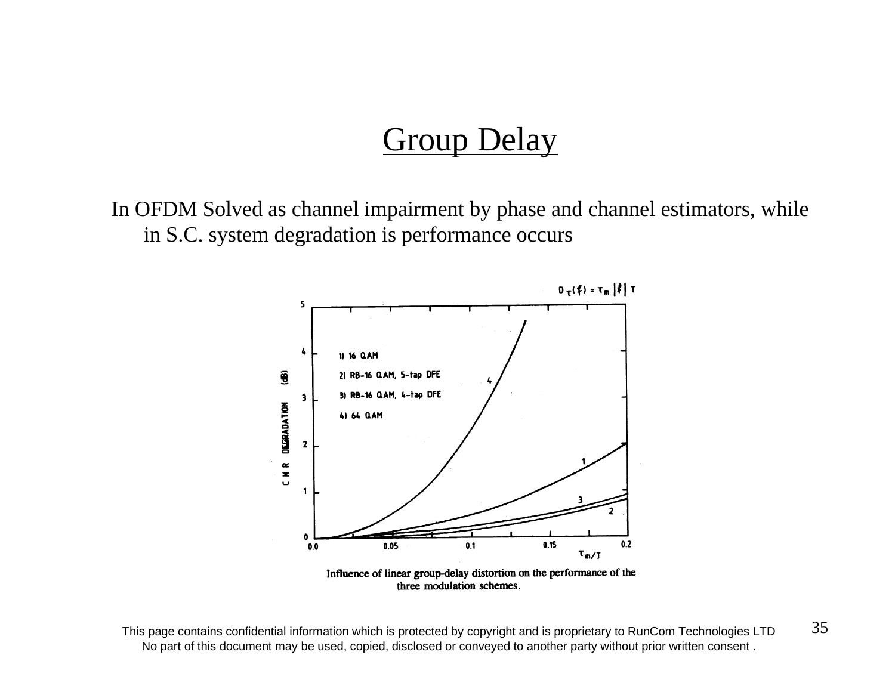### **Group Delay**

In OFDM Solved as channel impairment by phase and channel estimators, while in S.C. system degradation is performance occurs



three modulation schemes.

This page contains confidential information which is protected by copyright and is proprietary to RunCom Technologies LTD  $35$ No part of this document may be used, copied, disclosed or conveyed to another party without prior written consent .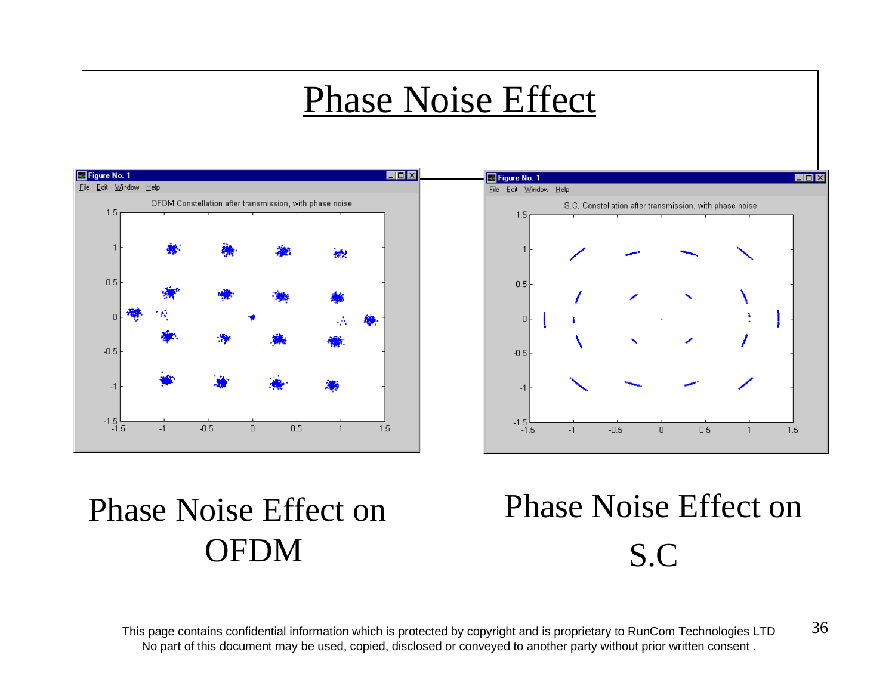## Phase Noise Effect





## Phase Noise Effect onOFDM

## Phase Noise Effect onS.C

This page contains confidential information which is protected by copyright and is proprietary to RunCom Technologies LTD  $36$ No part of this document may be used, copied, disclosed or conveyed to another party without prior written consent .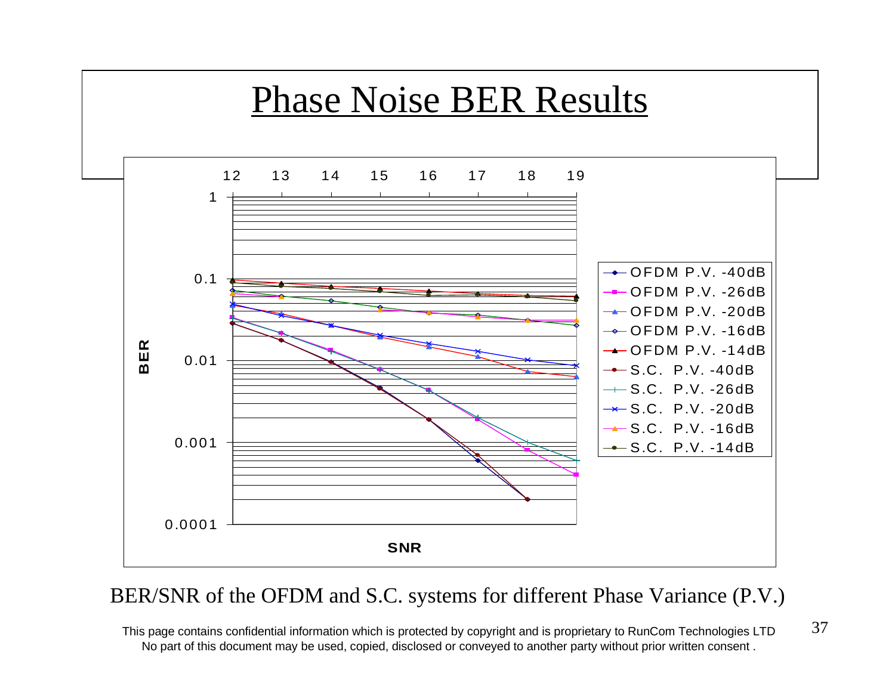

### BER/SNR of the OFDM and S.C. systems for different Phase Variance (P.V.)

This page contains confidential information which is protected by copyright and is proprietary to RunCom Technologies LTD  $37$ No part of this document may be used, copied, disclosed or conveyed to another party without prior written consent .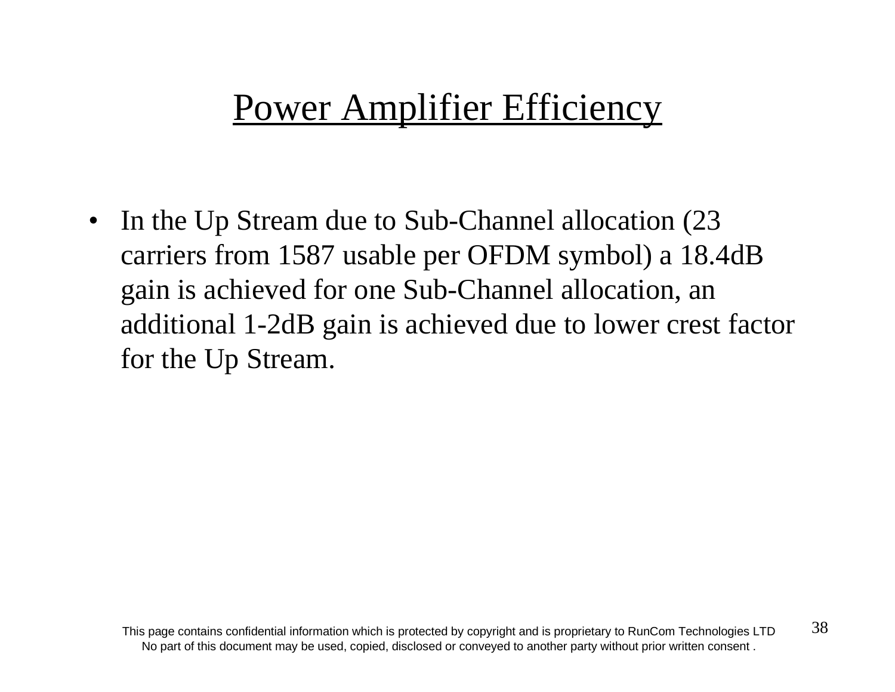## Power Amplifier Efficiency

 $\bullet$  In the Up Stream due to Sub-Channel allocation (23 carriers from 1587 usable per OFDM symbol) a 18.4dB gain is achieved for one Sub-Channel allocation, an additional 1-2dB gain is achieved due to lower crest factor for the Up Stream.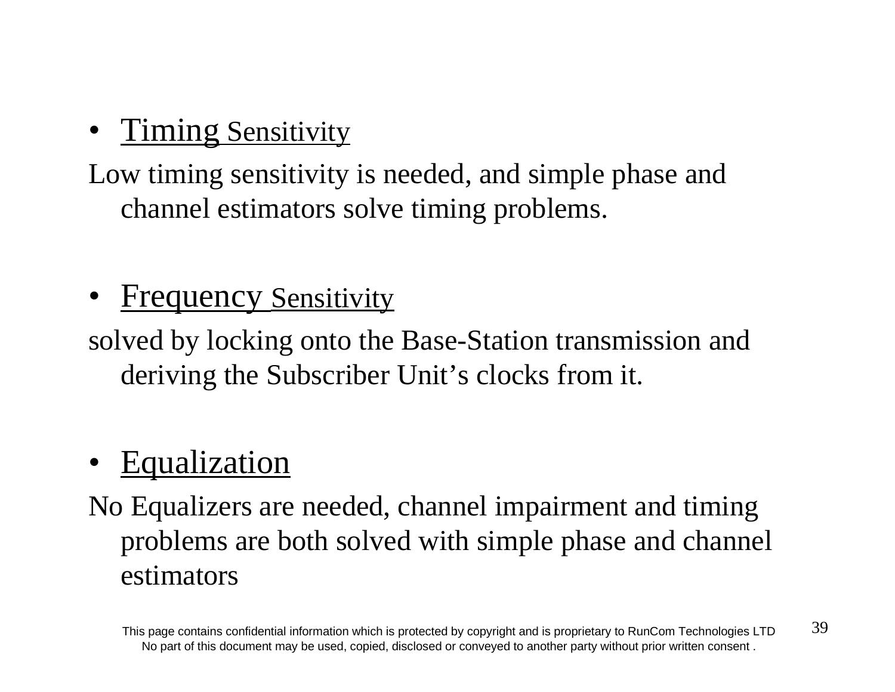•**Timing Sensitivity** 

Low timing sensitivity is needed, and simple phase and channel estimators solve timing problems.

•**Frequency Sensitivity** 

solved by locking onto the Base-Station transmission and deriving the Subscriber Unit's clocks from it.

### •Equalization

No Equalizers are needed, channel impairment and timing problems are both solved with simple phase and channel estimators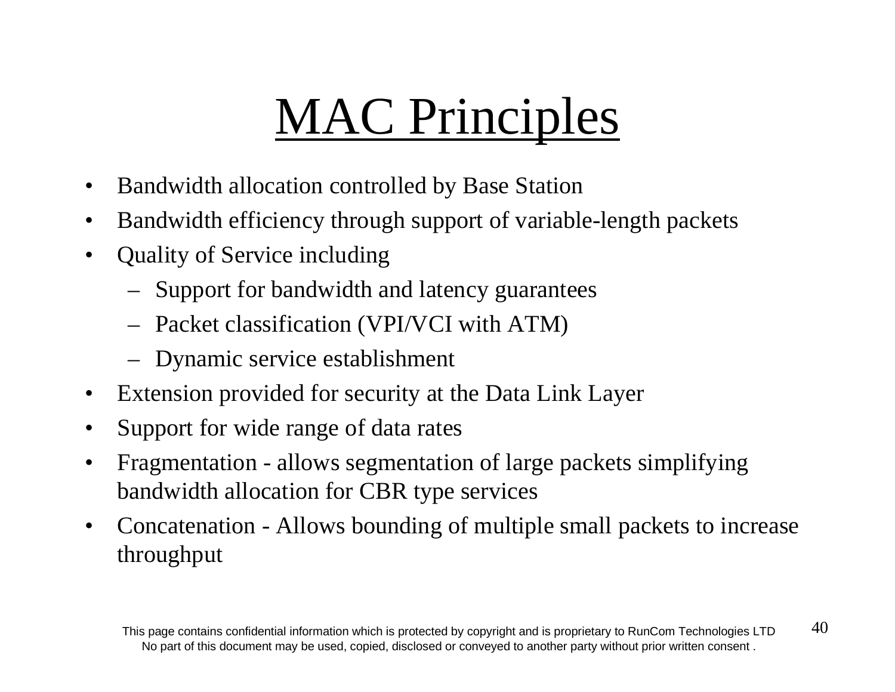# MAC Principles

- •Bandwidth allocation controlled by Base Station
- $\bullet$ Bandwidth efficiency through support of variable-length packets
- • Quality of Service including
	- Support for bandwidth and latency guarantees
	- Packet classification (VPI/VCI with ATM)
	- Dynamic service establishment
- $\bullet$ Extension provided for security at the Data Link Layer
- •Support for wide range of data rates
- $\bullet$  Fragmentation - allows segmentation of large packets simplifying bandwidth allocation for CBR type services
- $\bullet$  Concatenation - Allows bounding of multiple small packets to increase throughput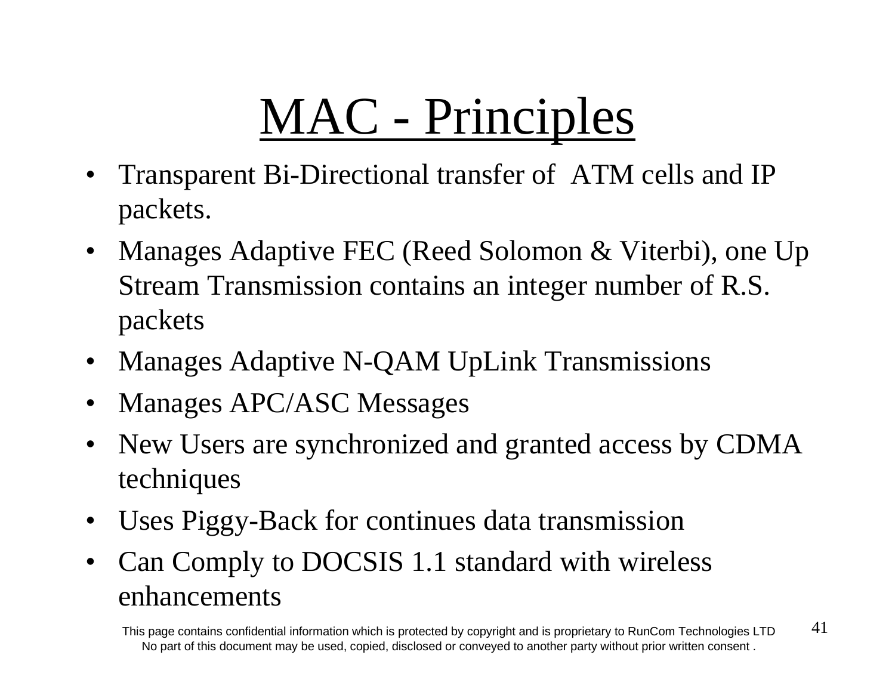# MAC - Principles

- $\bullet$  Transparent Bi-Directional transfer of ATM cells and IP packets.
- Manages Adaptive FEC (Reed Solomon & Viterbi), one Up Stream Transmission contains an integer number of R.S. packets
- Manages Adaptive N-QAM UpLink Transmissions
- $\bullet$ Manages APC/ASC Messages
- New Users are synchronized and granted access by CDMA techniques
- $\bullet$ Uses Piggy-Back for continues data transmission
- $\bullet$  Can Comply to DOCSIS 1.1 standard with wireless enhancements

This page contains confidential information which is protected by copyright and is proprietary to RunCom Technologies LTD  $41$ No part of this document may be used, copied, disclosed or conveyed to another party without prior written consent .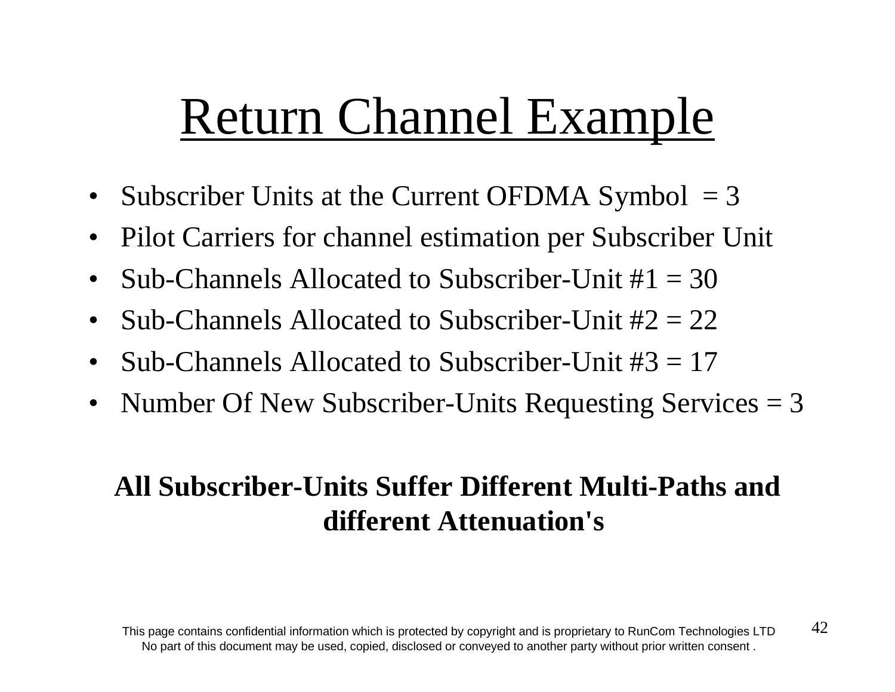# Return Channel Example

- Subscriber Units at the Current OFDMA Symbol = 3
- $\bullet$ Pilot Carriers for channel estimation per Subscriber Unit
- $\bullet$ Sub-Channels Allocated to Subscriber-Unit  $\#1 = 30$
- $\bullet$ Sub-Channels Allocated to Subscriber-Unit #2 = 22
- •Sub-Channels Allocated to Subscriber-Unit #3 = 17
- $\bullet$ Number Of New Subscriber-Units Requesting Services = 3

### **All Subscriber-Units Suffer Different Multi-Paths anddifferent Attenuation's**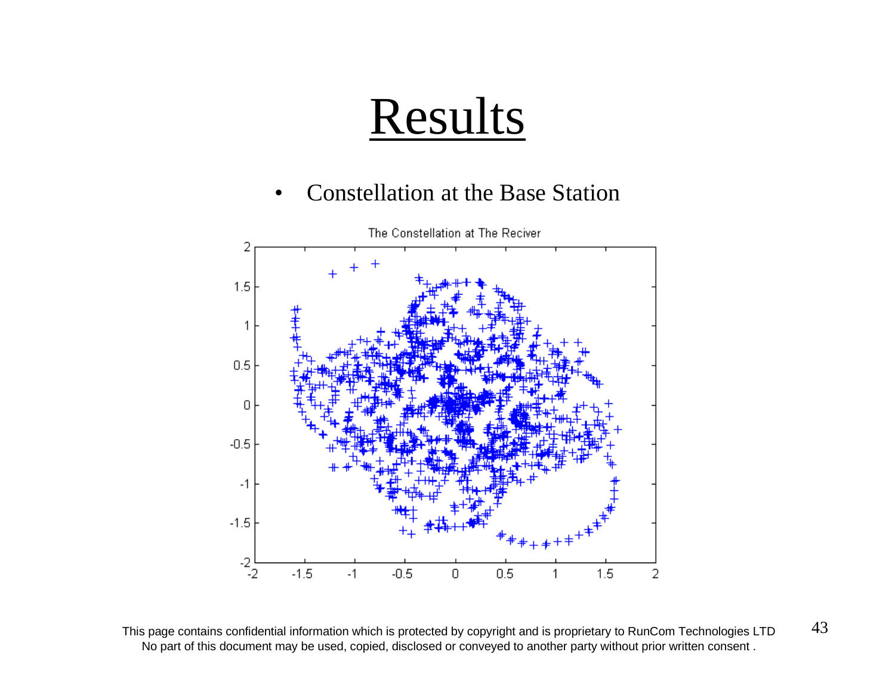•Constellation at the Base Station



This page contains confidential information which is protected by copyright and is proprietary to RunCom Technologies LTD  $43$ No part of this document may be used, copied, disclosed or conveyed to another party without prior written consent .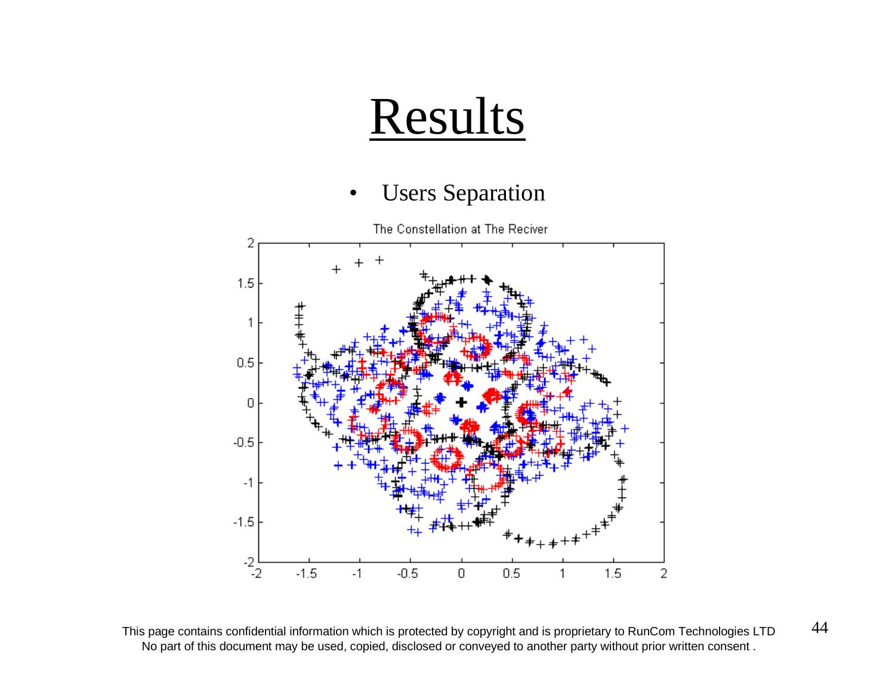#### •Users Separation



This page contains confidential information which is protected by copyright and is proprietary to RunCom Technologies LTD  $44$ No part of this document may be used, copied, disclosed or conveyed to another party without prior written consent .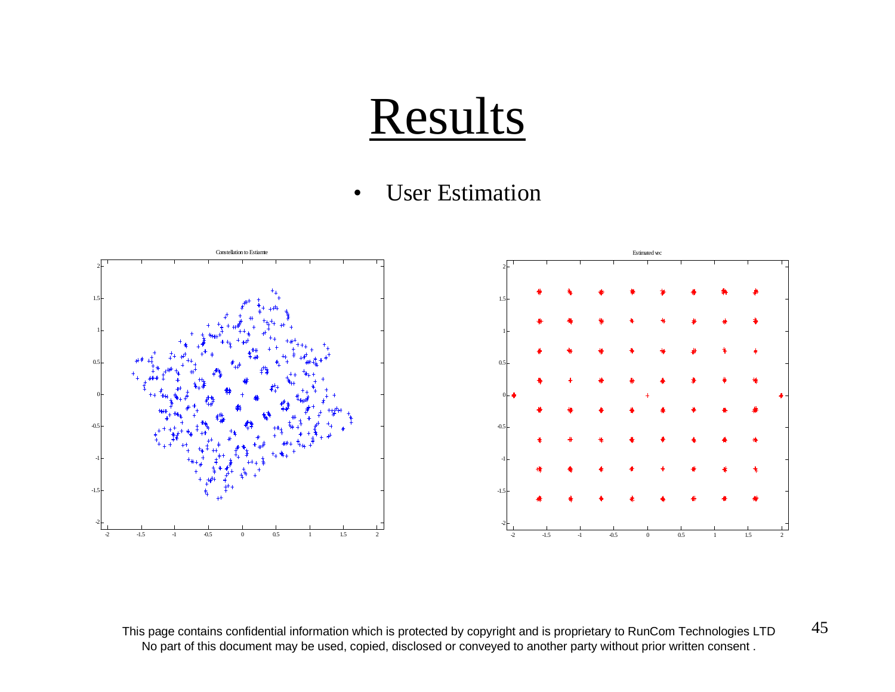#### •• User Estimation



This page contains confidential information which is protected by copyright and is proprietary to RunCom Technologies LTD  $45$ No part of this document may be used, copied, disclosed or conveyed to another party without prior written consent .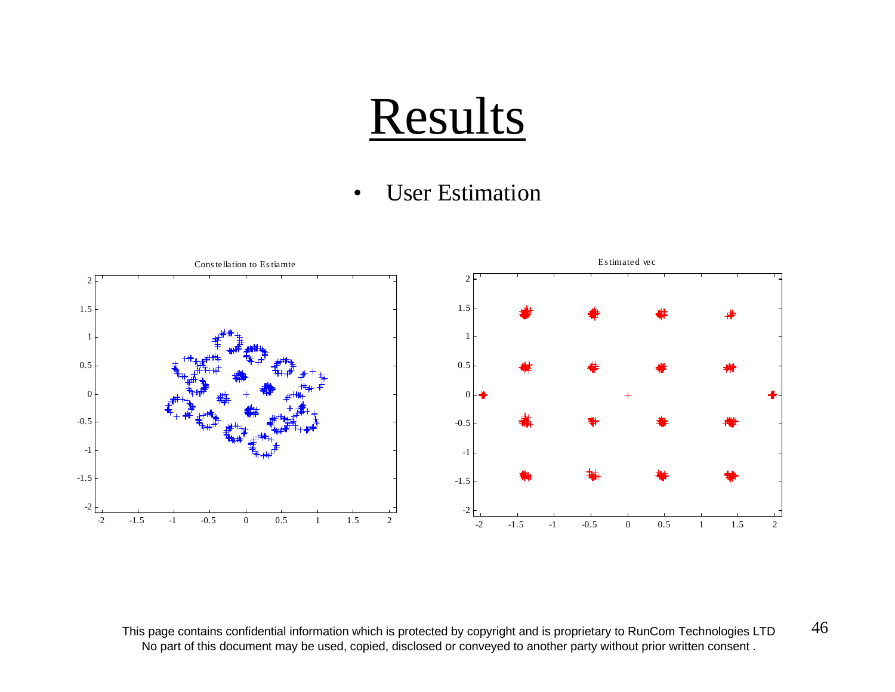#### •• User Estimation



This page contains confidential information which is protected by copyright and is proprietary to RunCom Technologies LTD  $46$ No part of this document may be used, copied, disclosed or conveyed to another party without prior written consent .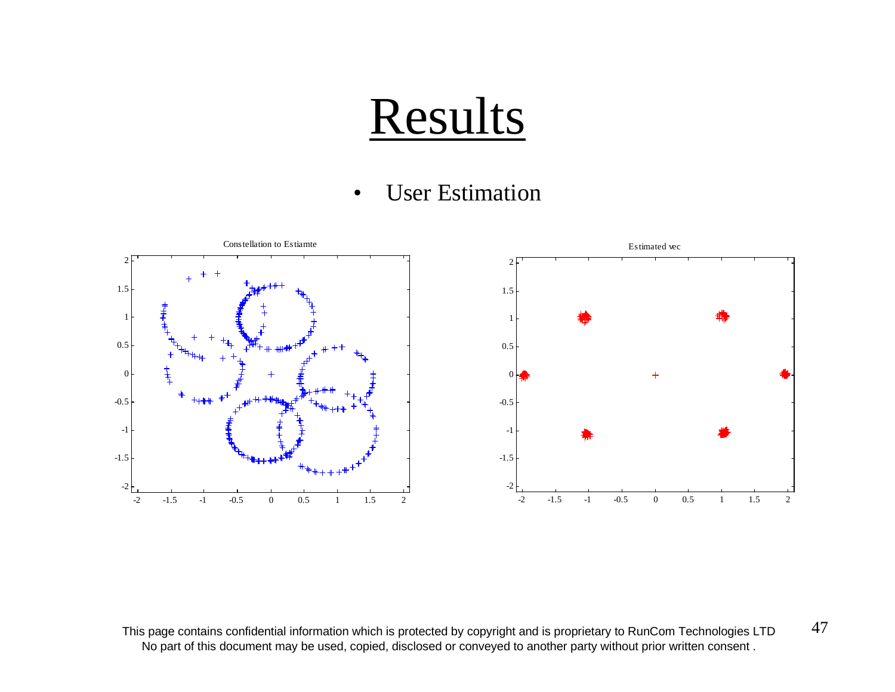#### •• User Estimation



This page contains confidential information which is protected by copyright and is proprietary to RunCom Technologies LTD  $47$ No part of this document may be used, copied, disclosed or conveyed to another party without prior written consent .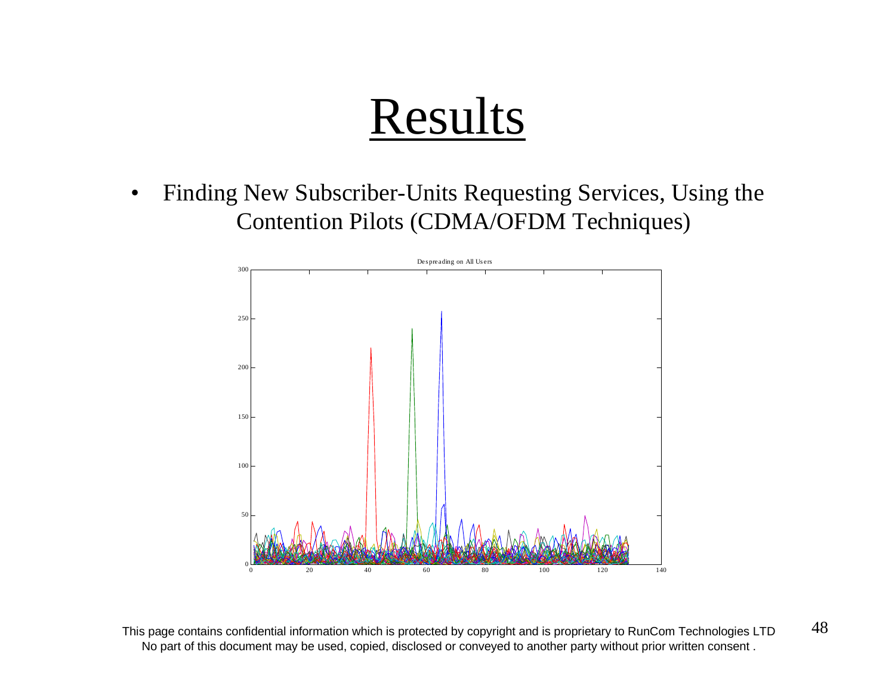$\bullet$  Finding New Subscriber-Units Requesting Services, Using the Contention Pilots (CDMA/OFDM Techniques)



This page contains confidential information which is protected by copyright and is proprietary to RunCom Technologies LTD  $48$ No part of this document may be used, copied, disclosed or conveyed to another party without prior written consent .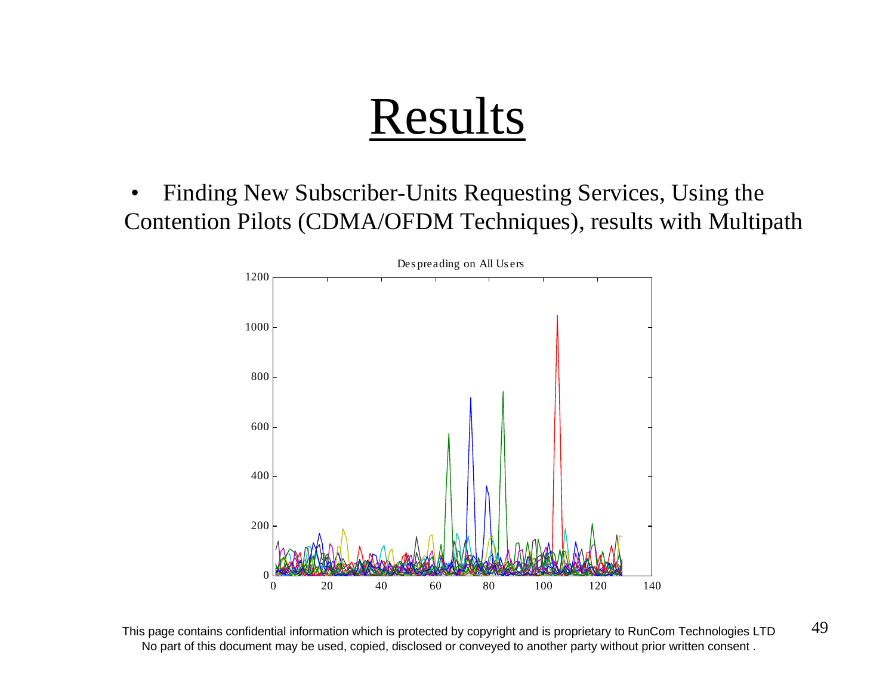• Finding New Subscriber-Units Requesting Services, Using the Contention Pilots (CDMA/OFDM Techniques), results with Multipath



This page contains confidential information which is protected by copyright and is proprietary to RunCom Technologies LTD  $49$ No part of this document may be used, copied, disclosed or conveyed to another party without prior written consent .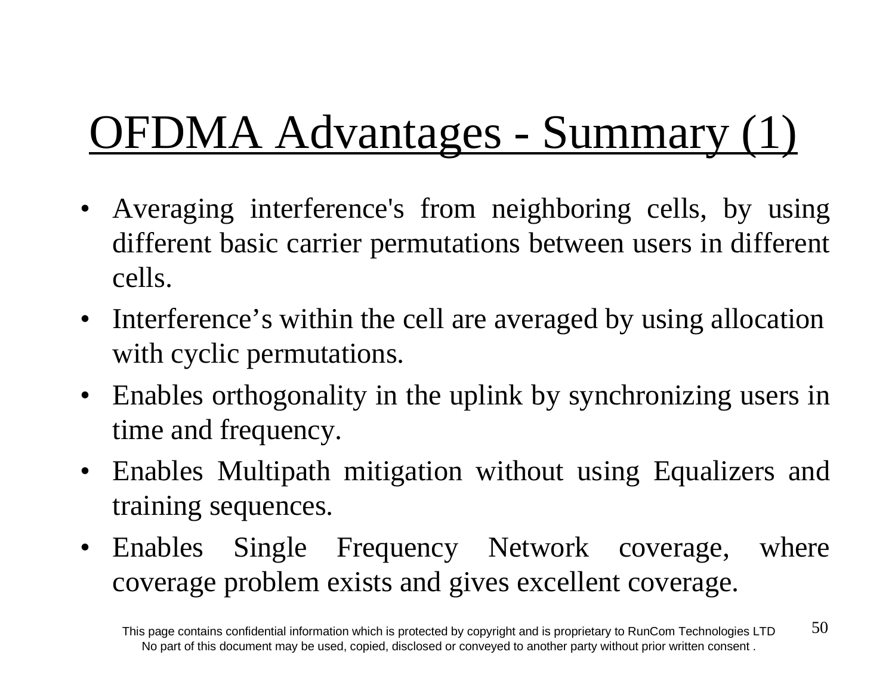# OFDMA Advantages - Summary (1)

- Averaging interference's from neighboring cells, by using different basic carrier permutations between users in different cells.
- Interference's within the cell are averaged by using allocation with cyclic permutations.
- Enables orthogonality in the uplink by synchronizing users in time and frequency.
- Enables Multipath mitigation without using Equalizers and training sequences.
- Enables Single Frequency Network coverage, where coverage problem exists and gives excellent coverage.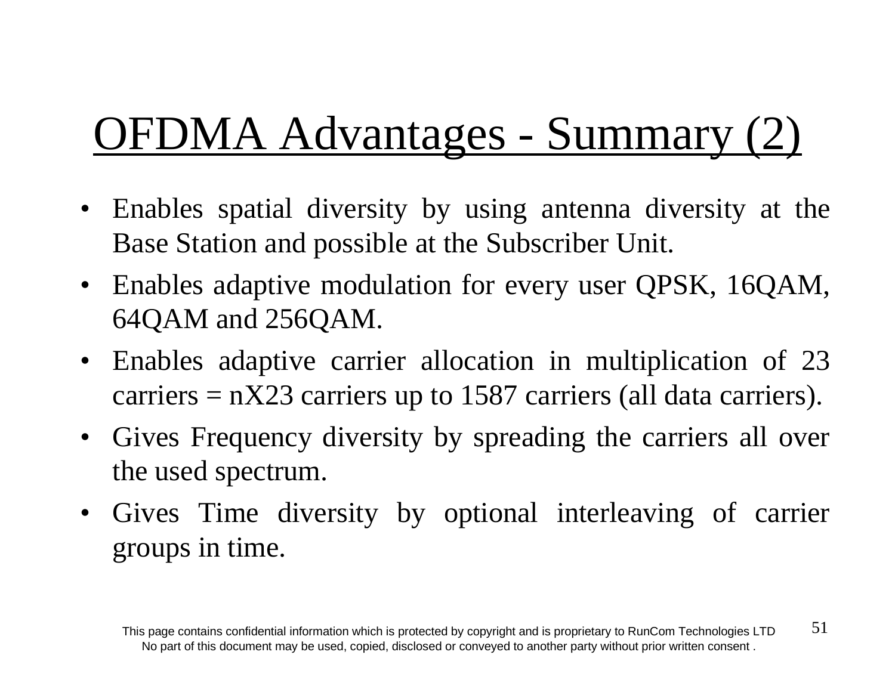# OFDMA Advantages - Summary (2)

- Enables spatial diversity by using antenna diversity at the Base Station and possible at the Subscriber Unit.
- Enables adaptive modulation for every user QPSK, 16QAM, 64QAM and 256QAM.
- Enables adaptive carrier allocation in multiplication of 23 carriers  $= nX23$  carriers up to 1587 carriers (all data carriers).
- Gives Frequency diversity by spreading the carriers all over the used spectrum.
- Gives Time diversity by optional interleaving of carrier groups in time.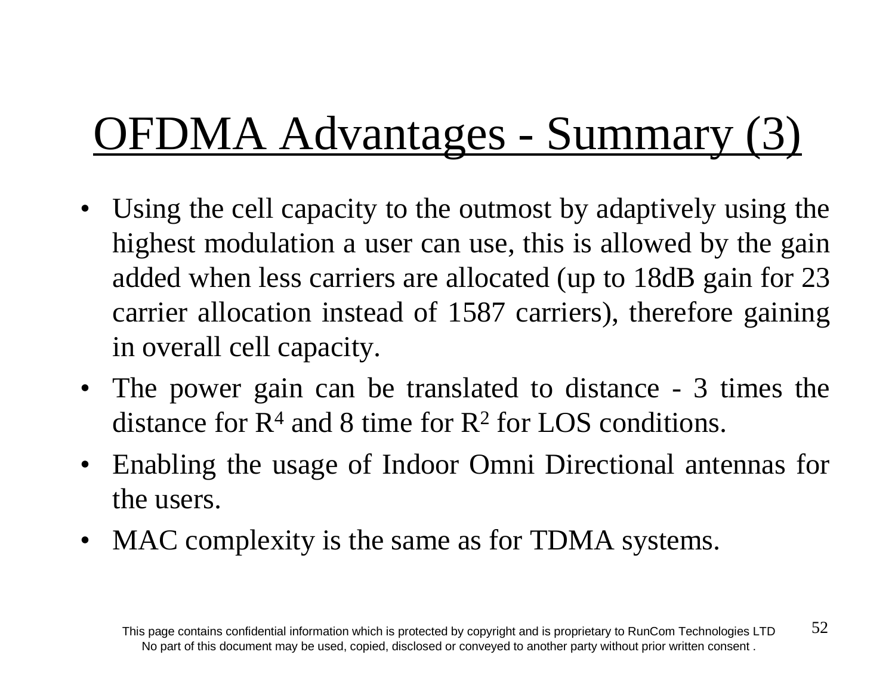# OFDMA Advantages - Summary (3)

- Using the cell capacity to the outmost by adaptively using the highest modulation a user can use, this is allowed by the gain added when less carriers are allocated (up to 18dB gain for 23 carrier allocation instead of 1587 carriers), therefore gaining in overall cell capacity.
- The power gain can be translated to distance 3 times the distance for  $R<sup>4</sup>$  and 8 time for  $R<sup>2</sup>$  for LOS conditions.
- Enabling the usage of Indoor Omni Directional antennas for the users.
- MAC complexity is the same as for TDMA systems.